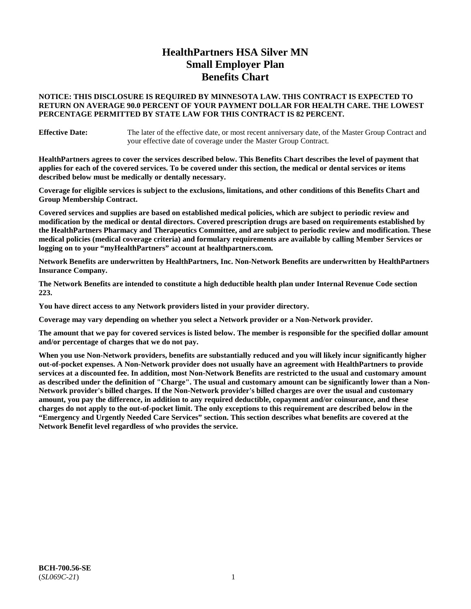# **HealthPartners HSA Silver MN Small Employer Plan Benefits Chart**

## **NOTICE: THIS DISCLOSURE IS REQUIRED BY MINNESOTA LAW. THIS CONTRACT IS EXPECTED TO RETURN ON AVERAGE 90.0 PERCENT OF YOUR PAYMENT DOLLAR FOR HEALTH CARE. THE LOWEST PERCENTAGE PERMITTED BY STATE LAW FOR THIS CONTRACT IS 82 PERCENT.**

**Effective Date:** The later of the effective date, or most recent anniversary date, of the Master Group Contract and your effective date of coverage under the Master Group Contract.

**HealthPartners agrees to cover the services described below. This Benefits Chart describes the level of payment that applies for each of the covered services. To be covered under this section, the medical or dental services or items described below must be medically or dentally necessary.**

**Coverage for eligible services is subject to the exclusions, limitations, and other conditions of this Benefits Chart and Group Membership Contract.**

**Covered services and supplies are based on established medical policies, which are subject to periodic review and modification by the medical or dental directors. Covered prescription drugs are based on requirements established by the HealthPartners Pharmacy and Therapeutics Committee, and are subject to periodic review and modification. These medical policies (medical coverage criteria) and formulary requirements are available by calling Member Services or logging on to your "myHealthPartners" account at [healthpartners.com.](https://www.healthpartners.com/hp/index.html)**

**Network Benefits are underwritten by HealthPartners, Inc. Non-Network Benefits are underwritten by HealthPartners Insurance Company.** 

**The Network Benefits are intended to constitute a high deductible health plan under Internal Revenue Code section 223.** 

**You have direct access to any Network providers listed in your provider directory.**

**Coverage may vary depending on whether you select a Network provider or a Non-Network provider.**

**The amount that we pay for covered services is listed below. The member is responsible for the specified dollar amount and/or percentage of charges that we do not pay.**

**When you use Non-Network providers, benefits are substantially reduced and you will likely incur significantly higher out-of-pocket expenses. A Non-Network provider does not usually have an agreement with HealthPartners to provide services at a discounted fee. In addition, most Non-Network Benefits are restricted to the usual and customary amount as described under the definition of "Charge". The usual and customary amount can be significantly lower than a Non-Network provider's billed charges. If the Non-Network provider's billed charges are over the usual and customary amount, you pay the difference, in addition to any required deductible, copayment and/or coinsurance, and these charges do not apply to the out-of-pocket limit. The only exceptions to this requirement are described below in the "Emergency and Urgently Needed Care Services" section. This section describes what benefits are covered at the Network Benefit level regardless of who provides the service.**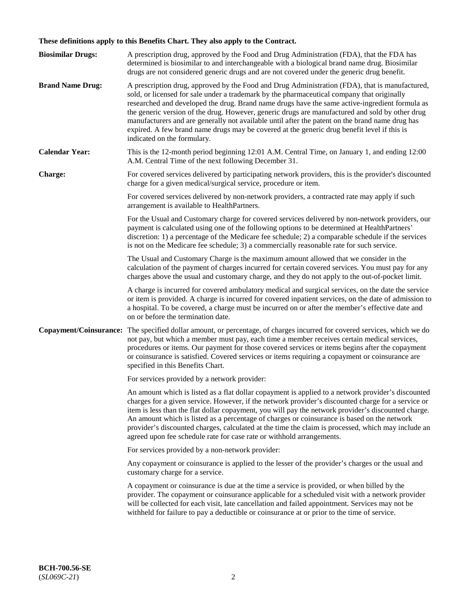# **These definitions apply to this Benefits Chart. They also apply to the Contract.**

| <b>Biosimilar Drugs:</b> | A prescription drug, approved by the Food and Drug Administration (FDA), that the FDA has<br>determined is biosimilar to and interchangeable with a biological brand name drug. Biosimilar<br>drugs are not considered generic drugs and are not covered under the generic drug benefit.                                                                                                                                                                                                                                                                                                                                           |
|--------------------------|------------------------------------------------------------------------------------------------------------------------------------------------------------------------------------------------------------------------------------------------------------------------------------------------------------------------------------------------------------------------------------------------------------------------------------------------------------------------------------------------------------------------------------------------------------------------------------------------------------------------------------|
| <b>Brand Name Drug:</b>  | A prescription drug, approved by the Food and Drug Administration (FDA), that is manufactured,<br>sold, or licensed for sale under a trademark by the pharmaceutical company that originally<br>researched and developed the drug. Brand name drugs have the same active-ingredient formula as<br>the generic version of the drug. However, generic drugs are manufactured and sold by other drug<br>manufacturers and are generally not available until after the patent on the brand name drug has<br>expired. A few brand name drugs may be covered at the generic drug benefit level if this is<br>indicated on the formulary. |
| <b>Calendar Year:</b>    | This is the 12-month period beginning 12:01 A.M. Central Time, on January 1, and ending 12:00<br>A.M. Central Time of the next following December 31.                                                                                                                                                                                                                                                                                                                                                                                                                                                                              |
| <b>Charge:</b>           | For covered services delivered by participating network providers, this is the provider's discounted<br>charge for a given medical/surgical service, procedure or item.                                                                                                                                                                                                                                                                                                                                                                                                                                                            |
|                          | For covered services delivered by non-network providers, a contracted rate may apply if such<br>arrangement is available to HealthPartners.                                                                                                                                                                                                                                                                                                                                                                                                                                                                                        |
|                          | For the Usual and Customary charge for covered services delivered by non-network providers, our<br>payment is calculated using one of the following options to be determined at HealthPartners'<br>discretion: 1) a percentage of the Medicare fee schedule; 2) a comparable schedule if the services<br>is not on the Medicare fee schedule; 3) a commercially reasonable rate for such service.                                                                                                                                                                                                                                  |
|                          | The Usual and Customary Charge is the maximum amount allowed that we consider in the<br>calculation of the payment of charges incurred for certain covered services. You must pay for any<br>charges above the usual and customary charge, and they do not apply to the out-of-pocket limit.                                                                                                                                                                                                                                                                                                                                       |
|                          | A charge is incurred for covered ambulatory medical and surgical services, on the date the service<br>or item is provided. A charge is incurred for covered inpatient services, on the date of admission to<br>a hospital. To be covered, a charge must be incurred on or after the member's effective date and<br>on or before the termination date.                                                                                                                                                                                                                                                                              |
| Copayment/Coinsurance:   | The specified dollar amount, or percentage, of charges incurred for covered services, which we do<br>not pay, but which a member must pay, each time a member receives certain medical services,<br>procedures or items. Our payment for those covered services or items begins after the copayment<br>or coinsurance is satisfied. Covered services or items requiring a copayment or coinsurance are<br>specified in this Benefits Chart.                                                                                                                                                                                        |
|                          | For services provided by a network provider:                                                                                                                                                                                                                                                                                                                                                                                                                                                                                                                                                                                       |
|                          | An amount which is listed as a flat dollar copayment is applied to a network provider's discounted<br>charges for a given service. However, if the network provider's discounted charge for a service or<br>item is less than the flat dollar copayment, you will pay the network provider's discounted charge.<br>An amount which is listed as a percentage of charges or coinsurance is based on the network<br>provider's discounted charges, calculated at the time the claim is processed, which may include an<br>agreed upon fee schedule rate for case rate or withhold arrangements.                                      |
|                          | For services provided by a non-network provider:                                                                                                                                                                                                                                                                                                                                                                                                                                                                                                                                                                                   |
|                          | Any copayment or coinsurance is applied to the lesser of the provider's charges or the usual and<br>customary charge for a service.                                                                                                                                                                                                                                                                                                                                                                                                                                                                                                |
|                          | A copayment or coinsurance is due at the time a service is provided, or when billed by the<br>provider. The copayment or coinsurance applicable for a scheduled visit with a network provider<br>will be collected for each visit, late cancellation and failed appointment. Services may not be<br>withheld for failure to pay a deductible or coinsurance at or prior to the time of service.                                                                                                                                                                                                                                    |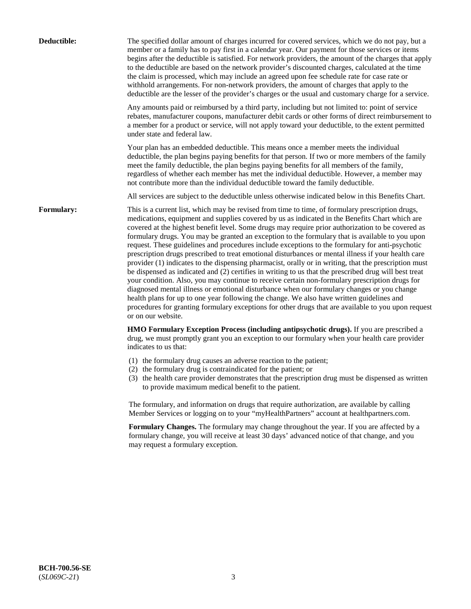| Deductible:       | The specified dollar amount of charges incurred for covered services, which we do not pay, but a<br>member or a family has to pay first in a calendar year. Our payment for those services or items<br>begins after the deductible is satisfied. For network providers, the amount of the charges that apply<br>to the deductible are based on the network provider's discounted charges, calculated at the time<br>the claim is processed, which may include an agreed upon fee schedule rate for case rate or<br>withhold arrangements. For non-network providers, the amount of charges that apply to the<br>deductible are the lesser of the provider's charges or the usual and customary charge for a service.                                                                                                                                                                                                                                                                                                                                                                                                                                                                                                                                             |
|-------------------|------------------------------------------------------------------------------------------------------------------------------------------------------------------------------------------------------------------------------------------------------------------------------------------------------------------------------------------------------------------------------------------------------------------------------------------------------------------------------------------------------------------------------------------------------------------------------------------------------------------------------------------------------------------------------------------------------------------------------------------------------------------------------------------------------------------------------------------------------------------------------------------------------------------------------------------------------------------------------------------------------------------------------------------------------------------------------------------------------------------------------------------------------------------------------------------------------------------------------------------------------------------|
|                   | Any amounts paid or reimbursed by a third party, including but not limited to: point of service<br>rebates, manufacturer coupons, manufacturer debit cards or other forms of direct reimbursement to<br>a member for a product or service, will not apply toward your deductible, to the extent permitted<br>under state and federal law.                                                                                                                                                                                                                                                                                                                                                                                                                                                                                                                                                                                                                                                                                                                                                                                                                                                                                                                        |
|                   | Your plan has an embedded deductible. This means once a member meets the individual<br>deductible, the plan begins paying benefits for that person. If two or more members of the family<br>meet the family deductible, the plan begins paying benefits for all members of the family,<br>regardless of whether each member has met the individual deductible. However, a member may<br>not contribute more than the individual deductible toward the family deductible.                                                                                                                                                                                                                                                                                                                                                                                                                                                                                                                                                                                                                                                                                                                                                                                         |
|                   | All services are subject to the deductible unless otherwise indicated below in this Benefits Chart.                                                                                                                                                                                                                                                                                                                                                                                                                                                                                                                                                                                                                                                                                                                                                                                                                                                                                                                                                                                                                                                                                                                                                              |
| <b>Formulary:</b> | This is a current list, which may be revised from time to time, of formulary prescription drugs,<br>medications, equipment and supplies covered by us as indicated in the Benefits Chart which are<br>covered at the highest benefit level. Some drugs may require prior authorization to be covered as<br>formulary drugs. You may be granted an exception to the formulary that is available to you upon<br>request. These guidelines and procedures include exceptions to the formulary for anti-psychotic<br>prescription drugs prescribed to treat emotional disturbances or mental illness if your health care<br>provider (1) indicates to the dispensing pharmacist, orally or in writing, that the prescription must<br>be dispensed as indicated and (2) certifies in writing to us that the prescribed drug will best treat<br>your condition. Also, you may continue to receive certain non-formulary prescription drugs for<br>diagnosed mental illness or emotional disturbance when our formulary changes or you change<br>health plans for up to one year following the change. We also have written guidelines and<br>procedures for granting formulary exceptions for other drugs that are available to you upon request<br>or on our website. |
|                   | HMO Formulary Exception Process (including antipsychotic drugs). If you are prescribed a<br>drug, we must promptly grant you an exception to our formulary when your health care provider<br>indicates to us that:                                                                                                                                                                                                                                                                                                                                                                                                                                                                                                                                                                                                                                                                                                                                                                                                                                                                                                                                                                                                                                               |
|                   | (1) the formulary drug causes an adverse reaction to the patient;<br>(2) the formulary drug is contraindicated for the patient; or<br>(3) the health care provider demonstrates that the prescription drug must be dispensed as written<br>to provide maximum medical benefit to the patient.                                                                                                                                                                                                                                                                                                                                                                                                                                                                                                                                                                                                                                                                                                                                                                                                                                                                                                                                                                    |
|                   | The formulary, and information on drugs that require authorization, are available by calling<br>Member Services or logging on to your "myHealthPartners" account at healthpartners.com.                                                                                                                                                                                                                                                                                                                                                                                                                                                                                                                                                                                                                                                                                                                                                                                                                                                                                                                                                                                                                                                                          |
|                   | Formulary Changes. The formulary may change throughout the year. If you are affected by a<br>formulary change, you will receive at least 30 days' advanced notice of that change, and you<br>may request a formulary exception.                                                                                                                                                                                                                                                                                                                                                                                                                                                                                                                                                                                                                                                                                                                                                                                                                                                                                                                                                                                                                                  |
|                   |                                                                                                                                                                                                                                                                                                                                                                                                                                                                                                                                                                                                                                                                                                                                                                                                                                                                                                                                                                                                                                                                                                                                                                                                                                                                  |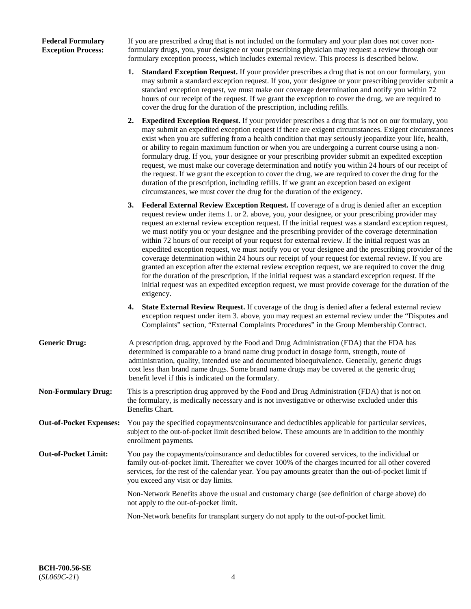## **Federal Formulary Exception Process:**

If you are prescribed a drug that is not included on the formulary and your plan does not cover nonformulary drugs, you, your designee or your prescribing physician may request a review through our formulary exception process, which includes external review. This process is described below.

- **1. Standard Exception Request.** If your provider prescribes a drug that is not on our formulary, you may submit a standard exception request. If you, your designee or your prescribing provider submit a standard exception request, we must make our coverage determination and notify you within 72 hours of our receipt of the request. If we grant the exception to cover the drug, we are required to cover the drug for the duration of the prescription, including refills.
- **2. Expedited Exception Request.** If your provider prescribes a drug that is not on our formulary, you may submit an expedited exception request if there are exigent circumstances. Exigent circumstances exist when you are suffering from a health condition that may seriously jeopardize your life, health, or ability to regain maximum function or when you are undergoing a current course using a nonformulary drug. If you, your designee or your prescribing provider submit an expedited exception request, we must make our coverage determination and notify you within 24 hours of our receipt of the request. If we grant the exception to cover the drug, we are required to cover the drug for the duration of the prescription, including refills. If we grant an exception based on exigent circumstances, we must cover the drug for the duration of the exigency.
- **3. Federal External Review Exception Request.** If coverage of a drug is denied after an exception request review under items 1. or 2. above, you, your designee, or your prescribing provider may request an external review exception request. If the initial request was a standard exception request, we must notify you or your designee and the prescribing provider of the coverage determination within 72 hours of our receipt of your request for external review. If the initial request was an expedited exception request, we must notify you or your designee and the prescribing provider of the coverage determination within 24 hours our receipt of your request for external review. If you are granted an exception after the external review exception request, we are required to cover the drug for the duration of the prescription, if the initial request was a standard exception request. If the initial request was an expedited exception request, we must provide coverage for the duration of the exigency.
- **4. State External Review Request.** If coverage of the drug is denied after a federal external review exception request under item 3. above, you may request an external review under the "Disputes and Complaints" section, "External Complaints Procedures" in the Group Membership Contract.
- **Generic Drug:** A prescription drug, approved by the Food and Drug Administration (FDA) that the FDA has determined is comparable to a brand name drug product in dosage form, strength, route of administration, quality, intended use and documented bioequivalence. Generally, generic drugs cost less than brand name drugs. Some brand name drugs may be covered at the generic drug benefit level if this is indicated on the formulary.
- **Non-Formulary Drug:** This is a prescription drug approved by the Food and Drug Administration (FDA) that is not on the formulary, is medically necessary and is not investigative or otherwise excluded under this Benefits Chart.
- **Out-of-Pocket Expenses:** You pay the specified copayments/coinsurance and deductibles applicable for particular services, subject to the out-of-pocket limit described below. These amounts are in addition to the monthly enrollment payments.
- **Out-of-Pocket Limit:** You pay the copayments/coinsurance and deductibles for covered services, to the individual or family out-of-pocket limit. Thereafter we cover 100% of the charges incurred for all other covered services, for the rest of the calendar year. You pay amounts greater than the out-of-pocket limit if you exceed any visit or day limits.

Non-Network Benefits above the usual and customary charge (see definition of charge above) do not apply to the out-of-pocket limit.

Non-Network benefits for transplant surgery do not apply to the out-of-pocket limit.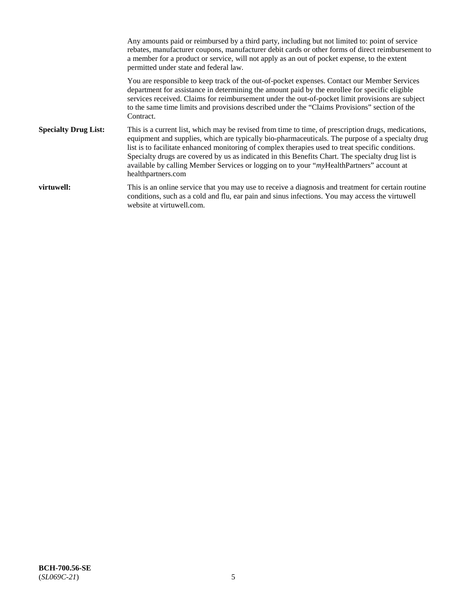Any amounts paid or reimbursed by a third party, including but not limited to: point of service rebates, manufacturer coupons, manufacturer debit cards or other forms of direct reimbursement to a member for a product or service, will not apply as an out of pocket expense, to the extent permitted under state and federal law. You are responsible to keep track of the out-of-pocket expenses. Contact our Member Services department for assistance in determining the amount paid by the enrollee for specific eligible services received. Claims for reimbursement under the out-of-pocket limit provisions are subject to the same time limits and provisions described under the "Claims Provisions" section of the Contract. **Specialty Drug List:** This is a current list, which may be revised from time to time, of prescription drugs, medications, equipment and supplies, which are typically bio-pharmaceuticals. The purpose of a specialty drug list is to facilitate enhanced monitoring of complex therapies used to treat specific conditions. Specialty drugs are covered by us as indicated in this Benefits Chart. The specialty drug list is available by calling Member Services or logging on to your "*my*HealthPartners" account at [healthpartners.com](https://www.healthpartners.com/hp/index.html) **virtuwell:** This is an online service that you may use to receive a diagnosis and treatment for certain routine conditions, such as a cold and flu, ear pain and sinus infections. You may access the virtuwell website at [virtuwell.com.](https://www.virtuwell.com/)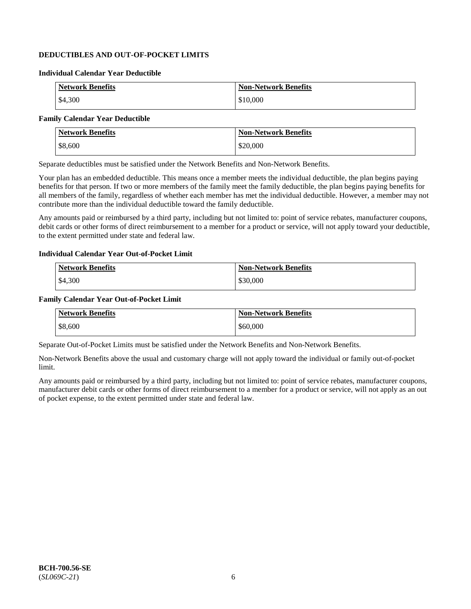## **DEDUCTIBLES AND OUT-OF-POCKET LIMITS**

### **Individual Calendar Year Deductible**

| <b>Network Benefits</b> | <b>Non-Network Benefits</b> |
|-------------------------|-----------------------------|
| \$4,300                 | \$10,000                    |

## **Family Calendar Year Deductible**

| <b>Network Benefits</b> | <b>Non-Network Benefits</b> |
|-------------------------|-----------------------------|
| \$8,600                 | \$20,000                    |

Separate deductibles must be satisfied under the Network Benefits and Non-Network Benefits.

Your plan has an embedded deductible. This means once a member meets the individual deductible, the plan begins paying benefits for that person. If two or more members of the family meet the family deductible, the plan begins paying benefits for all members of the family, regardless of whether each member has met the individual deductible. However, a member may not contribute more than the individual deductible toward the family deductible.

Any amounts paid or reimbursed by a third party, including but not limited to: point of service rebates, manufacturer coupons, debit cards or other forms of direct reimbursement to a member for a product or service, will not apply toward your deductible, to the extent permitted under state and federal law.

#### **Individual Calendar Year Out-of-Pocket Limit**

| <b>Network Benefits</b> | <b>Non-Network Benefits</b> |
|-------------------------|-----------------------------|
| \$4,300                 | \$30,000                    |

#### **Family Calendar Year Out-of-Pocket Limit**

| <b>Network Benefits</b> | <b>Non-Network Benefits</b> |
|-------------------------|-----------------------------|
| \$8,600                 | \$60,000                    |

Separate Out-of-Pocket Limits must be satisfied under the Network Benefits and Non-Network Benefits.

Non-Network Benefits above the usual and customary charge will not apply toward the individual or family out-of-pocket limit.

Any amounts paid or reimbursed by a third party, including but not limited to: point of service rebates, manufacturer coupons, manufacturer debit cards or other forms of direct reimbursement to a member for a product or service, will not apply as an out of pocket expense, to the extent permitted under state and federal law.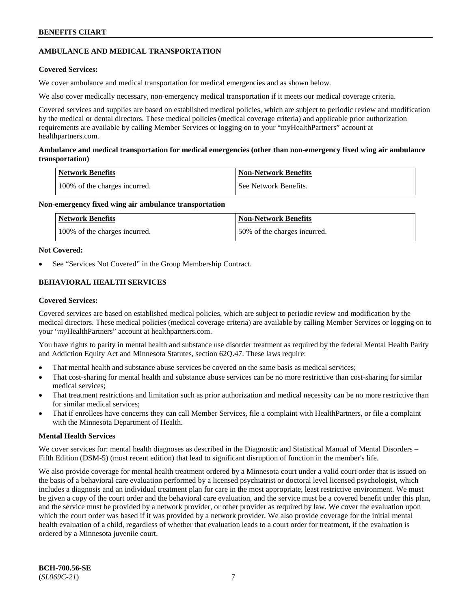## **AMBULANCE AND MEDICAL TRANSPORTATION**

## **Covered Services:**

We cover ambulance and medical transportation for medical emergencies and as shown below.

We also cover medically necessary, non-emergency medical transportation if it meets our medical coverage criteria.

Covered services and supplies are based on established medical policies, which are subject to periodic review and modification by the medical or dental directors. These medical policies (medical coverage criteria) and applicable prior authorization requirements are available by calling Member Services or logging on to your "myHealthPartners" account at [healthpartners.com.](https://www.healthpartners.com/hp/index.html)

## **Ambulance and medical transportation for medical emergencies (other than non-emergency fixed wing air ambulance transportation)**

| Network Benefits              | <b>Non-Network Benefits</b> |
|-------------------------------|-----------------------------|
| 100% of the charges incurred. | See Network Benefits.       |

## **Non-emergency fixed wing air ambulance transportation**

| Network Benefits              | <b>Non-Network Benefits</b>  |
|-------------------------------|------------------------------|
| 100% of the charges incurred. | 50% of the charges incurred. |

## **Not Covered:**

See "Services Not Covered" in the Group Membership Contract.

## **BEHAVIORAL HEALTH SERVICES**

## **Covered Services:**

Covered services are based on established medical policies, which are subject to periodic review and modification by the medical directors. These medical policies (medical coverage criteria) are available by calling Member Services or logging on to your "*my*HealthPartners" account at [healthpartners.com.](http://www.healthpartners.com/)

You have rights to parity in mental health and substance use disorder treatment as required by the federal Mental Health Parity and Addiction Equity Act and Minnesota Statutes, section 62Q.47. These laws require:

- That mental health and substance abuse services be covered on the same basis as medical services;
- That cost-sharing for mental health and substance abuse services can be no more restrictive than cost-sharing for similar medical services;
- That treatment restrictions and limitation such as prior authorization and medical necessity can be no more restrictive than for similar medical services;
- That if enrollees have concerns they can call Member Services, file a complaint with HealthPartners, or file a complaint with the Minnesota Department of Health.

## **Mental Health Services**

We cover services for: mental health diagnoses as described in the Diagnostic and Statistical Manual of Mental Disorders – Fifth Edition (DSM-5) (most recent edition) that lead to significant disruption of function in the member's life.

We also provide coverage for mental health treatment ordered by a Minnesota court under a valid court order that is issued on the basis of a behavioral care evaluation performed by a licensed psychiatrist or doctoral level licensed psychologist, which includes a diagnosis and an individual treatment plan for care in the most appropriate, least restrictive environment. We must be given a copy of the court order and the behavioral care evaluation, and the service must be a covered benefit under this plan, and the service must be provided by a network provider, or other provider as required by law. We cover the evaluation upon which the court order was based if it was provided by a network provider. We also provide coverage for the initial mental health evaluation of a child, regardless of whether that evaluation leads to a court order for treatment, if the evaluation is ordered by a Minnesota juvenile court.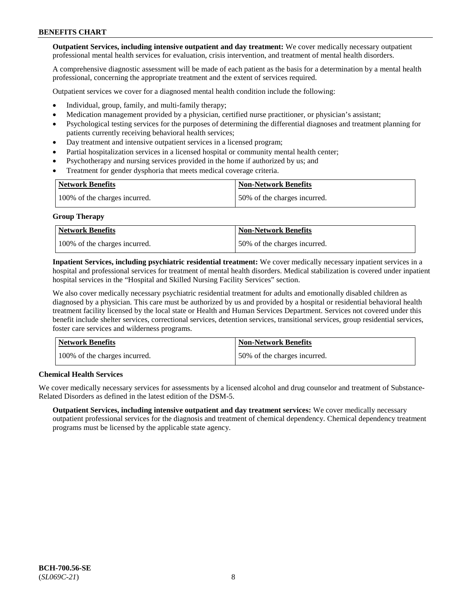**Outpatient Services, including intensive outpatient and day treatment:** We cover medically necessary outpatient professional mental health services for evaluation, crisis intervention, and treatment of mental health disorders.

A comprehensive diagnostic assessment will be made of each patient as the basis for a determination by a mental health professional, concerning the appropriate treatment and the extent of services required.

Outpatient services we cover for a diagnosed mental health condition include the following:

- Individual, group, family, and multi-family therapy;
- Medication management provided by a physician, certified nurse practitioner, or physician's assistant;
- Psychological testing services for the purposes of determining the differential diagnoses and treatment planning for patients currently receiving behavioral health services;
- Day treatment and intensive outpatient services in a licensed program;
- Partial hospitalization services in a licensed hospital or community mental health center;
- Psychotherapy and nursing services provided in the home if authorized by us; and
- Treatment for gender dysphoria that meets medical coverage criteria.

| <b>Network Benefits</b>       | <b>Non-Network Benefits</b>  |
|-------------------------------|------------------------------|
| 100% of the charges incurred. | 50% of the charges incurred. |

#### **Group Therapy**

| Network Benefits              | <b>Non-Network Benefits</b>  |
|-------------------------------|------------------------------|
| 100% of the charges incurred. | 50% of the charges incurred. |

**Inpatient Services, including psychiatric residential treatment:** We cover medically necessary inpatient services in a hospital and professional services for treatment of mental health disorders. Medical stabilization is covered under inpatient hospital services in the "Hospital and Skilled Nursing Facility Services" section.

We also cover medically necessary psychiatric residential treatment for adults and emotionally disabled children as diagnosed by a physician. This care must be authorized by us and provided by a hospital or residential behavioral health treatment facility licensed by the local state or Health and Human Services Department. Services not covered under this benefit include shelter services, correctional services, detention services, transitional services, group residential services, foster care services and wilderness programs.

| Network Benefits              | <b>Non-Network Benefits</b>  |
|-------------------------------|------------------------------|
| 100% of the charges incurred. | 50% of the charges incurred. |

## **Chemical Health Services**

We cover medically necessary services for assessments by a licensed alcohol and drug counselor and treatment of Substance-Related Disorders as defined in the latest edition of the DSM-5.

**Outpatient Services, including intensive outpatient and day treatment services:** We cover medically necessary outpatient professional services for the diagnosis and treatment of chemical dependency. Chemical dependency treatment programs must be licensed by the applicable state agency.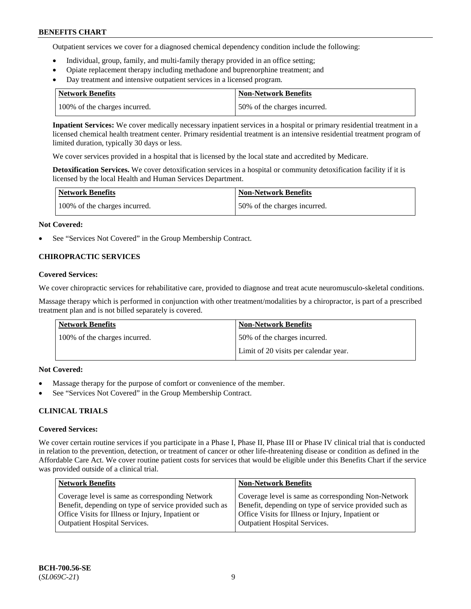Outpatient services we cover for a diagnosed chemical dependency condition include the following:

- Individual, group, family, and multi-family therapy provided in an office setting;
- Opiate replacement therapy including methadone and buprenorphine treatment; and
- Day treatment and intensive outpatient services in a licensed program.

| Network Benefits              | <b>Non-Network Benefits</b>  |
|-------------------------------|------------------------------|
| 100% of the charges incurred. | 50% of the charges incurred. |

**Inpatient Services:** We cover medically necessary inpatient services in a hospital or primary residential treatment in a licensed chemical health treatment center. Primary residential treatment is an intensive residential treatment program of limited duration, typically 30 days or less.

We cover services provided in a hospital that is licensed by the local state and accredited by Medicare.

**Detoxification Services.** We cover detoxification services in a hospital or community detoxification facility if it is licensed by the local Health and Human Services Department.

| <b>Network Benefits</b>       | <b>Non-Network Benefits</b>  |
|-------------------------------|------------------------------|
| 100% of the charges incurred. | 50% of the charges incurred. |

## **Not Covered:**

See "Services Not Covered" in the Group Membership Contract.

## **CHIROPRACTIC SERVICES**

## **Covered Services:**

We cover chiropractic services for rehabilitative care, provided to diagnose and treat acute neuromusculo-skeletal conditions.

Massage therapy which is performed in conjunction with other treatment/modalities by a chiropractor, is part of a prescribed treatment plan and is not billed separately is covered.

| Network Benefits              | <b>Non-Network Benefits</b>           |
|-------------------------------|---------------------------------------|
| 100% of the charges incurred. | 50% of the charges incurred.          |
|                               | Limit of 20 visits per calendar year. |

## **Not Covered:**

- Massage therapy for the purpose of comfort or convenience of the member.
- See "Services Not Covered" in the Group Membership Contract.

## **CLINICAL TRIALS**

## **Covered Services:**

We cover certain routine services if you participate in a Phase I, Phase II, Phase III or Phase IV clinical trial that is conducted in relation to the prevention, detection, or treatment of cancer or other life-threatening disease or condition as defined in the Affordable Care Act. We cover routine patient costs for services that would be eligible under this Benefits Chart if the service was provided outside of a clinical trial.

| <b>Network Benefits</b>                                                                                                                                                                                | <b>Non-Network Benefits</b>                                                                                                                                                                                |
|--------------------------------------------------------------------------------------------------------------------------------------------------------------------------------------------------------|------------------------------------------------------------------------------------------------------------------------------------------------------------------------------------------------------------|
| Coverage level is same as corresponding Network<br>Benefit, depending on type of service provided such as<br>Office Visits for Illness or Injury, Inpatient or<br><b>Outpatient Hospital Services.</b> | Coverage level is same as corresponding Non-Network<br>Benefit, depending on type of service provided such as<br>Office Visits for Illness or Injury, Inpatient or<br><b>Outpatient Hospital Services.</b> |
|                                                                                                                                                                                                        |                                                                                                                                                                                                            |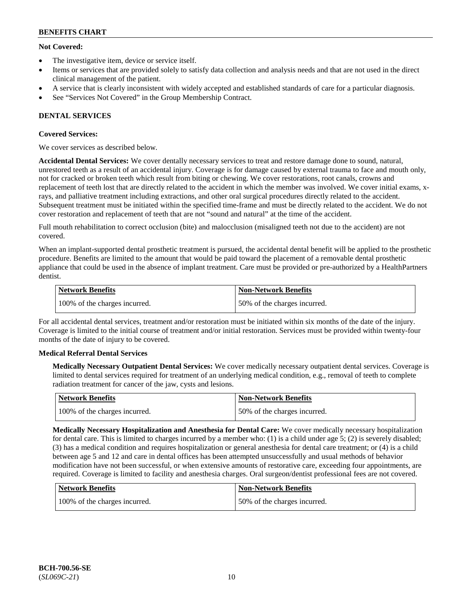## **Not Covered:**

- The investigative item, device or service itself.
- Items or services that are provided solely to satisfy data collection and analysis needs and that are not used in the direct clinical management of the patient.
- A service that is clearly inconsistent with widely accepted and established standards of care for a particular diagnosis.
- See "Services Not Covered" in the Group Membership Contract.

## **DENTAL SERVICES**

## **Covered Services:**

We cover services as described below.

**Accidental Dental Services:** We cover dentally necessary services to treat and restore damage done to sound, natural, unrestored teeth as a result of an accidental injury. Coverage is for damage caused by external trauma to face and mouth only, not for cracked or broken teeth which result from biting or chewing. We cover restorations, root canals, crowns and replacement of teeth lost that are directly related to the accident in which the member was involved. We cover initial exams, xrays, and palliative treatment including extractions, and other oral surgical procedures directly related to the accident. Subsequent treatment must be initiated within the specified time-frame and must be directly related to the accident. We do not cover restoration and replacement of teeth that are not "sound and natural" at the time of the accident.

Full mouth rehabilitation to correct occlusion (bite) and malocclusion (misaligned teeth not due to the accident) are not covered.

When an implant-supported dental prosthetic treatment is pursued, the accidental dental benefit will be applied to the prosthetic procedure. Benefits are limited to the amount that would be paid toward the placement of a removable dental prosthetic appliance that could be used in the absence of implant treatment. Care must be provided or pre-authorized by a HealthPartners dentist.

| Network Benefits              | <b>Non-Network Benefits</b>  |
|-------------------------------|------------------------------|
| 100% of the charges incurred. | 50% of the charges incurred. |

For all accidental dental services, treatment and/or restoration must be initiated within six months of the date of the injury. Coverage is limited to the initial course of treatment and/or initial restoration. Services must be provided within twenty-four months of the date of injury to be covered.

## **Medical Referral Dental Services**

**Medically Necessary Outpatient Dental Services:** We cover medically necessary outpatient dental services. Coverage is limited to dental services required for treatment of an underlying medical condition, e.g., removal of teeth to complete radiation treatment for cancer of the jaw, cysts and lesions.

| Network Benefits              | Non-Network Benefits         |
|-------------------------------|------------------------------|
| 100% of the charges incurred. | 50% of the charges incurred. |

**Medically Necessary Hospitalization and Anesthesia for Dental Care:** We cover medically necessary hospitalization for dental care. This is limited to charges incurred by a member who: (1) is a child under age  $5$ ; (2) is severely disabled; (3) has a medical condition and requires hospitalization or general anesthesia for dental care treatment; or (4) is a child between age 5 and 12 and care in dental offices has been attempted unsuccessfully and usual methods of behavior modification have not been successful, or when extensive amounts of restorative care, exceeding four appointments, are required. Coverage is limited to facility and anesthesia charges. Oral surgeon/dentist professional fees are not covered.

| <b>Network Benefits</b>       | <b>Non-Network Benefits</b>  |
|-------------------------------|------------------------------|
| 100% of the charges incurred. | 50% of the charges incurred. |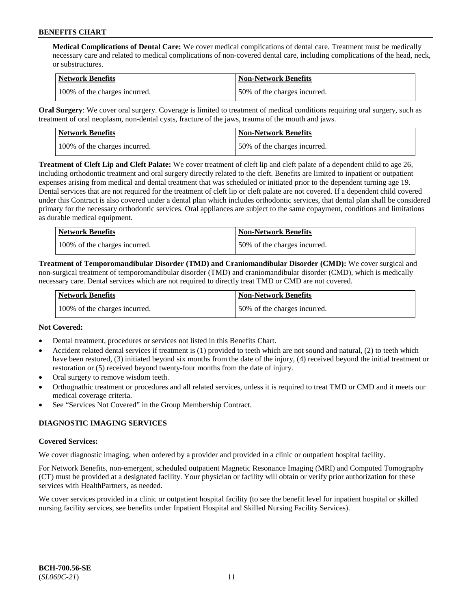**Medical Complications of Dental Care:** We cover medical complications of dental care. Treatment must be medically necessary care and related to medical complications of non-covered dental care, including complications of the head, neck, or substructures.

| Network Benefits              | <b>Non-Network Benefits</b>  |
|-------------------------------|------------------------------|
| 100% of the charges incurred. | 50% of the charges incurred. |

**Oral Surgery**: We cover oral surgery. Coverage is limited to treatment of medical conditions requiring oral surgery, such as treatment of oral neoplasm, non-dental cysts, fracture of the jaws, trauma of the mouth and jaws.

| Network Benefits              | <b>Non-Network Benefits</b>  |
|-------------------------------|------------------------------|
| 100% of the charges incurred. | 50% of the charges incurred. |

**Treatment of Cleft Lip and Cleft Palate:** We cover treatment of cleft lip and cleft palate of a dependent child to age 26, including orthodontic treatment and oral surgery directly related to the cleft. Benefits are limited to inpatient or outpatient expenses arising from medical and dental treatment that was scheduled or initiated prior to the dependent turning age 19. Dental services that are not required for the treatment of cleft lip or cleft palate are not covered. If a dependent child covered under this Contract is also covered under a dental plan which includes orthodontic services, that dental plan shall be considered primary for the necessary orthodontic services. Oral appliances are subject to the same copayment, conditions and limitations as durable medical equipment.

| <b>Network Benefits</b>       | <b>Non-Network Benefits</b>  |
|-------------------------------|------------------------------|
| 100% of the charges incurred. | 50% of the charges incurred. |

**Treatment of Temporomandibular Disorder (TMD) and Craniomandibular Disorder (CMD):** We cover surgical and non-surgical treatment of temporomandibular disorder (TMD) and craniomandibular disorder (CMD), which is medically necessary care. Dental services which are not required to directly treat TMD or CMD are not covered.

| <b>Network Benefits</b>       | <b>Non-Network Benefits</b>  |
|-------------------------------|------------------------------|
| 100% of the charges incurred. | 50% of the charges incurred. |

## **Not Covered:**

- Dental treatment, procedures or services not listed in this Benefits Chart.
- Accident related dental services if treatment is (1) provided to teeth which are not sound and natural, (2) to teeth which have been restored, (3) initiated beyond six months from the date of the injury, (4) received beyond the initial treatment or restoration or (5) received beyond twenty-four months from the date of injury.
- Oral surgery to remove wisdom teeth.
- Orthognathic treatment or procedures and all related services, unless it is required to treat TMD or CMD and it meets our medical coverage criteria.
- See "Services Not Covered" in the Group Membership Contract.

## **DIAGNOSTIC IMAGING SERVICES**

#### **Covered Services:**

We cover diagnostic imaging, when ordered by a provider and provided in a clinic or outpatient hospital facility.

For Network Benefits, non-emergent, scheduled outpatient Magnetic Resonance Imaging (MRI) and Computed Tomography (CT) must be provided at a designated facility. Your physician or facility will obtain or verify prior authorization for these services with HealthPartners, as needed.

We cover services provided in a clinic or outpatient hospital facility (to see the benefit level for inpatient hospital or skilled nursing facility services, see benefits under Inpatient Hospital and Skilled Nursing Facility Services).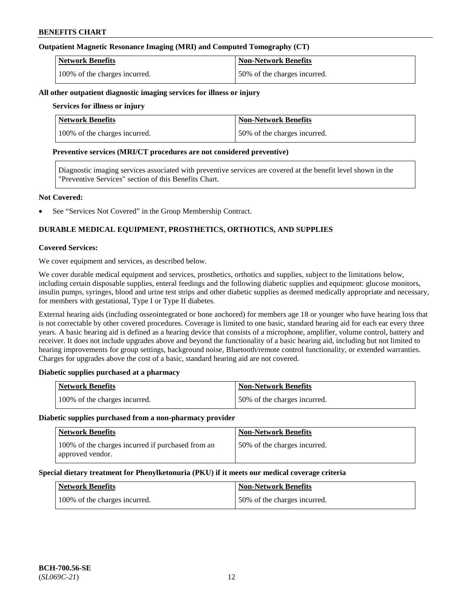## **Outpatient Magnetic Resonance Imaging (MRI) and Computed Tomography (CT)**

| <b>Network Benefits</b>       | <b>Non-Network Benefits</b>  |
|-------------------------------|------------------------------|
| 100% of the charges incurred. | 50% of the charges incurred. |

#### **All other outpatient diagnostic imaging services for illness or injury**

### **Services for illness or injury**

| <b>Network Benefits</b>       | <b>Non-Network Benefits</b>  |
|-------------------------------|------------------------------|
| 100% of the charges incurred. | 50% of the charges incurred. |

#### **Preventive services (MRI/CT procedures are not considered preventive)**

Diagnostic imaging services associated with preventive services are covered at the benefit level shown in the "Preventive Services" section of this Benefits Chart.

#### **Not Covered:**

See "Services Not Covered" in the Group Membership Contract.

## **DURABLE MEDICAL EQUIPMENT, PROSTHETICS, ORTHOTICS, AND SUPPLIES**

#### **Covered Services:**

We cover equipment and services, as described below.

We cover durable medical equipment and services, prosthetics, orthotics and supplies, subject to the limitations below, including certain disposable supplies, enteral feedings and the following diabetic supplies and equipment: glucose monitors, insulin pumps, syringes, blood and urine test strips and other diabetic supplies as deemed medically appropriate and necessary, for members with gestational, Type I or Type II diabetes.

External hearing aids (including osseointegrated or bone anchored) for members age 18 or younger who have hearing loss that is not correctable by other covered procedures. Coverage is limited to one basic, standard hearing aid for each ear every three years. A basic hearing aid is defined as a hearing device that consists of a microphone, amplifier, volume control, battery and receiver. It does not include upgrades above and beyond the functionality of a basic hearing aid, including but not limited to hearing improvements for group settings, background noise, Bluetooth/remote control functionality, or extended warranties. Charges for upgrades above the cost of a basic, standard hearing aid are not covered.

## **Diabetic supplies purchased at a pharmacy**

| <b>Network Benefits</b>       | <b>Non-Network Benefits</b>  |
|-------------------------------|------------------------------|
| 100% of the charges incurred. | 50% of the charges incurred. |

#### **Diabetic supplies purchased from a non-pharmacy provider**

| <b>Network Benefits</b>                                               | <b>Non-Network Benefits</b>  |
|-----------------------------------------------------------------------|------------------------------|
| 100% of the charges incurred if purchased from an<br>approved vendor. | 50% of the charges incurred. |

#### **Special dietary treatment for Phenylketonuria (PKU) if it meets our medical coverage criteria**

| <b>Network Benefits</b>       | <b>Non-Network Benefits</b>  |
|-------------------------------|------------------------------|
| 100% of the charges incurred. | 50% of the charges incurred. |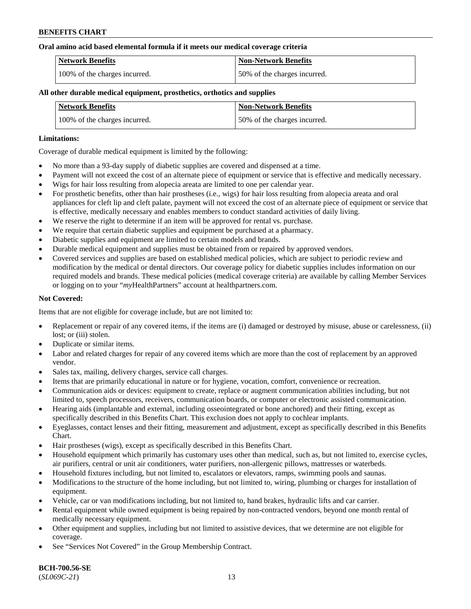#### **Oral amino acid based elemental formula if it meets our medical coverage criteria**

| Network Benefits              | Non-Network Benefits         |
|-------------------------------|------------------------------|
| 100% of the charges incurred. | 50% of the charges incurred. |

### **All other durable medical equipment, prosthetics, orthotics and supplies**

| <b>Network Benefits</b>       | <b>Non-Network Benefits</b>  |
|-------------------------------|------------------------------|
| 100% of the charges incurred. | 50% of the charges incurred. |

#### **Limitations:**

Coverage of durable medical equipment is limited by the following:

- No more than a 93-day supply of diabetic supplies are covered and dispensed at a time.
- Payment will not exceed the cost of an alternate piece of equipment or service that is effective and medically necessary.
- Wigs for hair loss resulting from alopecia areata are limited to one per calendar year.
- For prosthetic benefits, other than hair prostheses (i.e., wigs) for hair loss resulting from alopecia areata and oral appliances for cleft lip and cleft palate, payment will not exceed the cost of an alternate piece of equipment or service that is effective, medically necessary and enables members to conduct standard activities of daily living.
- We reserve the right to determine if an item will be approved for rental vs. purchase.
- We require that certain diabetic supplies and equipment be purchased at a pharmacy.
- Diabetic supplies and equipment are limited to certain models and brands.
- Durable medical equipment and supplies must be obtained from or repaired by approved vendors.
- Covered services and supplies are based on established medical policies, which are subject to periodic review and modification by the medical or dental directors. Our coverage policy for diabetic supplies includes information on our required models and brands. These medical policies (medical coverage criteria) are available by calling Member Services or logging on to your "*my*HealthPartners" account a[t healthpartners.com.](https://www.healthpartners.com/hp/index.html)

## **Not Covered:**

Items that are not eligible for coverage include, but are not limited to:

- Replacement or repair of any covered items, if the items are (i) damaged or destroyed by misuse, abuse or carelessness, (ii) lost; or (iii) stolen.
- Duplicate or similar items.
- Labor and related charges for repair of any covered items which are more than the cost of replacement by an approved vendor.
- Sales tax, mailing, delivery charges, service call charges.
- Items that are primarily educational in nature or for hygiene, vocation, comfort, convenience or recreation.
- Communication aids or devices: equipment to create, replace or augment communication abilities including, but not limited to, speech processors, receivers, communication boards, or computer or electronic assisted communication.
- Hearing aids (implantable and external, including osseointegrated or bone anchored) and their fitting, except as specifically described in this Benefits Chart. This exclusion does not apply to cochlear implants.
- Eyeglasses, contact lenses and their fitting, measurement and adjustment, except as specifically described in this Benefits Chart.
- Hair prostheses (wigs), except as specifically described in this Benefits Chart.
- Household equipment which primarily has customary uses other than medical, such as, but not limited to, exercise cycles, air purifiers, central or unit air conditioners, water purifiers, non-allergenic pillows, mattresses or waterbeds.
- Household fixtures including, but not limited to, escalators or elevators, ramps, swimming pools and saunas.
- Modifications to the structure of the home including, but not limited to, wiring, plumbing or charges for installation of equipment.
- Vehicle, car or van modifications including, but not limited to, hand brakes, hydraulic lifts and car carrier.
- Rental equipment while owned equipment is being repaired by non-contracted vendors, beyond one month rental of medically necessary equipment.
- Other equipment and supplies, including but not limited to assistive devices, that we determine are not eligible for coverage.
- See "Services Not Covered" in the Group Membership Contract.

**BCH-700.56-SE** (*SL069C-21*) 13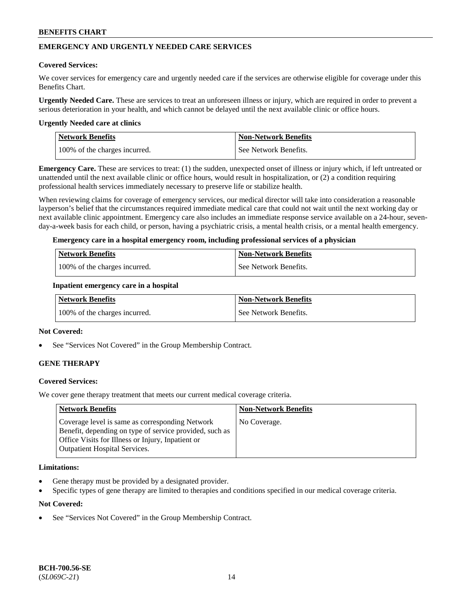## **EMERGENCY AND URGENTLY NEEDED CARE SERVICES**

#### **Covered Services:**

We cover services for emergency care and urgently needed care if the services are otherwise eligible for coverage under this Benefits Chart.

**Urgently Needed Care.** These are services to treat an unforeseen illness or injury, which are required in order to prevent a serious deterioration in your health, and which cannot be delayed until the next available clinic or office hours.

#### **Urgently Needed care at clinics**

| <b>Network Benefits</b>       | <b>Non-Network Benefits</b> |
|-------------------------------|-----------------------------|
| 100% of the charges incurred. | See Network Benefits.       |

**Emergency Care.** These are services to treat: (1) the sudden, unexpected onset of illness or injury which, if left untreated or unattended until the next available clinic or office hours, would result in hospitalization, or (2) a condition requiring professional health services immediately necessary to preserve life or stabilize health.

When reviewing claims for coverage of emergency services, our medical director will take into consideration a reasonable layperson's belief that the circumstances required immediate medical care that could not wait until the next working day or next available clinic appointment. Emergency care also includes an immediate response service available on a 24-hour, sevenday-a-week basis for each child, or person, having a psychiatric crisis, a mental health crisis, or a mental health emergency.

#### **Emergency care in a hospital emergency room, including professional services of a physician**

| <b>Network Benefits</b>       | Non-Network Benefits    |
|-------------------------------|-------------------------|
| 100% of the charges incurred. | l See Network Benefits. |

#### **Inpatient emergency care in a hospital**

| Network Benefits              | Non-Network Benefits  |
|-------------------------------|-----------------------|
| 100% of the charges incurred. | See Network Benefits. |

#### **Not Covered:**

See "Services Not Covered" in the Group Membership Contract.

## **GENE THERAPY**

## **Covered Services:**

We cover gene therapy treatment that meets our current medical coverage criteria.

| <b>Network Benefits</b>                                                                                                                                                                                 | <b>Non-Network Benefits</b> |
|---------------------------------------------------------------------------------------------------------------------------------------------------------------------------------------------------------|-----------------------------|
| Coverage level is same as corresponding Network<br>Benefit, depending on type of service provided, such as<br>Office Visits for Illness or Injury, Inpatient or<br><b>Outpatient Hospital Services.</b> | No Coverage.                |

#### **Limitations:**

- Gene therapy must be provided by a designated provider.
- Specific types of gene therapy are limited to therapies and conditions specified in our medical coverage criteria.

#### **Not Covered:**

See "Services Not Covered" in the Group Membership Contract.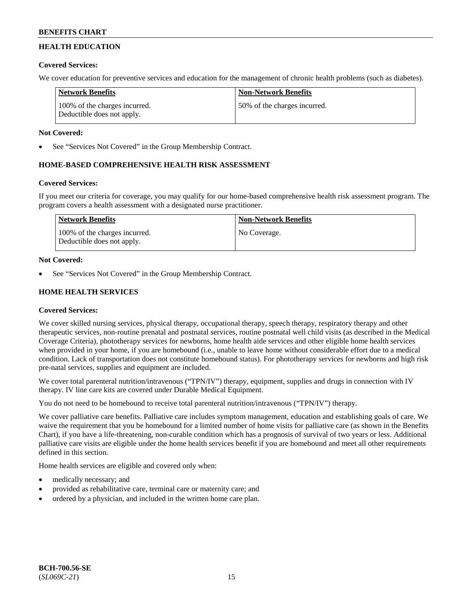## **HEALTH EDUCATION**

## **Covered Services:**

We cover education for preventive services and education for the management of chronic health problems (such as diabetes).

| Network Benefits                                            | <b>Non-Network Benefits</b>   |
|-------------------------------------------------------------|-------------------------------|
| 100% of the charges incurred.<br>Deductible does not apply. | 150% of the charges incurred. |

## **Not Covered:**

See "Services Not Covered" in the Group Membership Contract.

## **HOME-BASED COMPREHENSIVE HEALTH RISK ASSESSMENT**

## **Covered Services:**

If you meet our criteria for coverage, you may qualify for our home-based comprehensive health risk assessment program. The program covers a health assessment with a designated nurse practitioner.

| Network Benefits                                            | <b>Non-Network Benefits</b> |
|-------------------------------------------------------------|-----------------------------|
| 100% of the charges incurred.<br>Deductible does not apply. | No Coverage.                |

## **Not Covered:**

See "Services Not Covered" in the Group Membership Contract.

## **HOME HEALTH SERVICES**

## **Covered Services:**

We cover skilled nursing services, physical therapy, occupational therapy, speech therapy, respiratory therapy and other therapeutic services, non-routine prenatal and postnatal services, routine postnatal well child visits (as described in the Medical Coverage Criteria), phototherapy services for newborns, home health aide services and other eligible home health services when provided in your home, if you are homebound (i.e., unable to leave home without considerable effort due to a medical condition. Lack of transportation does not constitute homebound status). For phototherapy services for newborns and high risk pre-natal services, supplies and equipment are included.

We cover total parenteral nutrition/intravenous ("TPN/IV") therapy, equipment, supplies and drugs in connection with IV therapy. IV line care kits are covered under Durable Medical Equipment.

You do not need to be homebound to receive total parenteral nutrition/intravenous ("TPN/IV") therapy.

We cover palliative care benefits. Palliative care includes symptom management, education and establishing goals of care. We waive the requirement that you be homebound for a limited number of home visits for palliative care (as shown in the Benefits Chart), if you have a life-threatening, non-curable condition which has a prognosis of survival of two years or less. Additional palliative care visits are eligible under the home health services benefit if you are homebound and meet all other requirements defined in this section.

Home health services are eligible and covered only when:

- medically necessary; and
- provided as rehabilitative care, terminal care or maternity care; and
- ordered by a physician, and included in the written home care plan.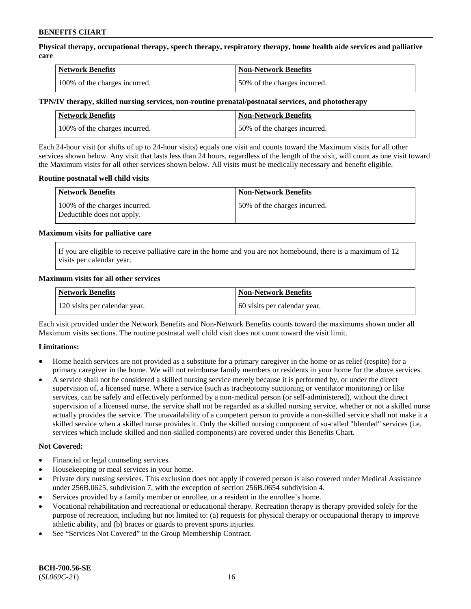**Physical therapy, occupational therapy, speech therapy, respiratory therapy, home health aide services and palliative care**

| <b>Network Benefits</b>       | <b>Non-Network Benefits</b>  |
|-------------------------------|------------------------------|
| 100% of the charges incurred. | 50% of the charges incurred. |

## **TPN/IV therapy, skilled nursing services, non-routine prenatal/postnatal services, and phototherapy**

| <b>Network Benefits</b>       | <b>Non-Network Benefits</b>  |
|-------------------------------|------------------------------|
| 100% of the charges incurred. | 50% of the charges incurred. |

Each 24-hour visit (or shifts of up to 24-hour visits) equals one visit and counts toward the Maximum visits for all other services shown below. Any visit that lasts less than 24 hours, regardless of the length of the visit, will count as one visit toward the Maximum visits for all other services shown below. All visits must be medically necessary and benefit eligible.

#### **Routine postnatal well child visits**

| <b>Network Benefits</b>                                     | <b>Non-Network Benefits</b>  |
|-------------------------------------------------------------|------------------------------|
| 100% of the charges incurred.<br>Deductible does not apply. | 50% of the charges incurred. |

#### **Maximum visits for palliative care**

If you are eligible to receive palliative care in the home and you are not homebound, there is a maximum of 12 visits per calendar year.

#### **Maximum visits for all other services**

| <b>Network Benefits</b>       | <b>Non-Network Benefits</b>  |
|-------------------------------|------------------------------|
| 120 visits per calendar year. | 60 visits per calendar year. |

Each visit provided under the Network Benefits and Non-Network Benefits counts toward the maximums shown under all Maximum visits sections. The routine postnatal well child visit does not count toward the visit limit.

## **Limitations:**

- Home health services are not provided as a substitute for a primary caregiver in the home or as relief (respite) for a primary caregiver in the home. We will not reimburse family members or residents in your home for the above services.
- A service shall not be considered a skilled nursing service merely because it is performed by, or under the direct supervision of, a licensed nurse. Where a service (such as tracheotomy suctioning or ventilator monitoring) or like services, can be safely and effectively performed by a non-medical person (or self-administered), without the direct supervision of a licensed nurse, the service shall not be regarded as a skilled nursing service, whether or not a skilled nurse actually provides the service. The unavailability of a competent person to provide a non-skilled service shall not make it a skilled service when a skilled nurse provides it. Only the skilled nursing component of so-called "blended" services (i.e. services which include skilled and non-skilled components) are covered under this Benefits Chart.

#### **Not Covered:**

- Financial or legal counseling services.
- Housekeeping or meal services in your home.
- Private duty nursing services. This exclusion does not apply if covered person is also covered under Medical Assistance under 256B.0625, subdivision 7, with the exception of section 256B.0654 subdivision 4.
- Services provided by a family member or enrollee, or a resident in the enrollee's home.
- Vocational rehabilitation and recreational or educational therapy. Recreation therapy is therapy provided solely for the purpose of recreation, including but not limited to: (a) requests for physical therapy or occupational therapy to improve athletic ability, and (b) braces or guards to prevent sports injuries.
- See "Services Not Covered" in the Group Membership Contract.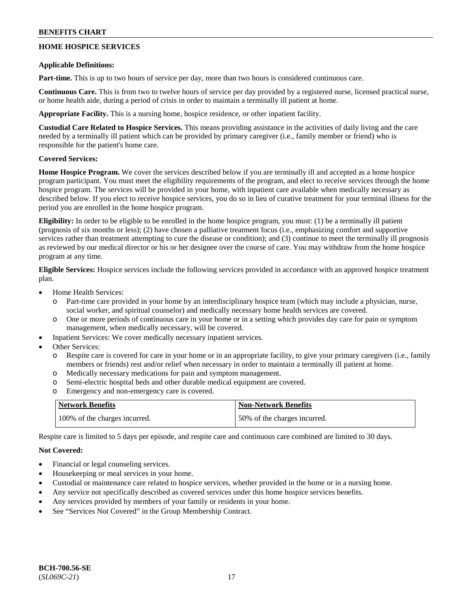## **HOME HOSPICE SERVICES**

### **Applicable Definitions:**

**Part-time.** This is up to two hours of service per day, more than two hours is considered continuous care.

**Continuous Care.** This is from two to twelve hours of service per day provided by a registered nurse, licensed practical nurse, or home health aide, during a period of crisis in order to maintain a terminally ill patient at home.

**Appropriate Facility.** This is a nursing home, hospice residence, or other inpatient facility.

**Custodial Care Related to Hospice Services.** This means providing assistance in the activities of daily living and the care needed by a terminally ill patient which can be provided by primary caregiver (i.e., family member or friend) who is responsible for the patient's home care.

## **Covered Services:**

**Home Hospice Program.** We cover the services described below if you are terminally ill and accepted as a home hospice program participant. You must meet the eligibility requirements of the program, and elect to receive services through the home hospice program. The services will be provided in your home, with inpatient care available when medically necessary as described below. If you elect to receive hospice services, you do so in lieu of curative treatment for your terminal illness for the period you are enrolled in the home hospice program.

**Eligibility:** In order to be eligible to be enrolled in the home hospice program, you must: (1) be a terminally ill patient (prognosis of six months or less); (2) have chosen a palliative treatment focus (i.e., emphasizing comfort and supportive services rather than treatment attempting to cure the disease or condition); and (3) continue to meet the terminally ill prognosis as reviewed by our medical director or his or her designee over the course of care. You may withdraw from the home hospice program at any time.

**Eligible Services:** Hospice services include the following services provided in accordance with an approved hospice treatment plan.

- Home Health Services:
	- o Part-time care provided in your home by an interdisciplinary hospice team (which may include a physician, nurse, social worker, and spiritual counselor) and medically necessary home health services are covered.
	- o One or more periods of continuous care in your home or in a setting which provides day care for pain or symptom management, when medically necessary, will be covered.
- Inpatient Services: We cover medically necessary inpatient services.
- Other Services:
	- o Respite care is covered for care in your home or in an appropriate facility, to give your primary caregivers (i.e., family members or friends) rest and/or relief when necessary in order to maintain a terminally ill patient at home.
	- o Medically necessary medications for pain and symptom management.
	- o Semi-electric hospital beds and other durable medical equipment are covered.
	- o Emergency and non-emergency care is covered.

| <b>Network Benefits</b>       | <b>Non-Network Benefits</b>  |
|-------------------------------|------------------------------|
| 100% of the charges incurred. | 50% of the charges incurred. |

Respite care is limited to 5 days per episode, and respite care and continuous care combined are limited to 30 days.

## **Not Covered:**

- Financial or legal counseling services.
- Housekeeping or meal services in your home.
- Custodial or maintenance care related to hospice services, whether provided in the home or in a nursing home.
- Any service not specifically described as covered services under this home hospice services benefits.
- Any services provided by members of your family or residents in your home.
- See "Services Not Covered" in the Group Membership Contract.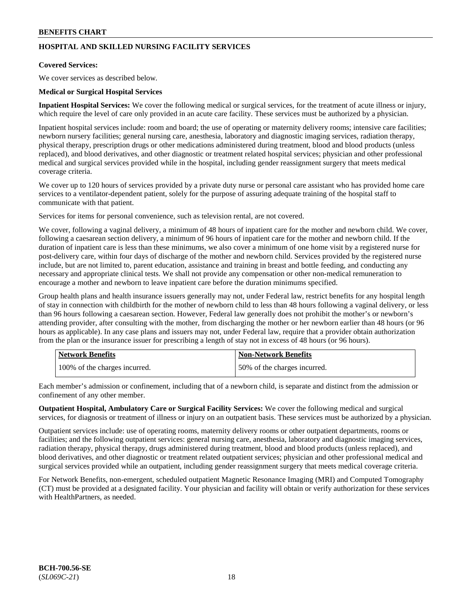## **HOSPITAL AND SKILLED NURSING FACILITY SERVICES**

## **Covered Services:**

We cover services as described below.

### **Medical or Surgical Hospital Services**

**Inpatient Hospital Services:** We cover the following medical or surgical services, for the treatment of acute illness or injury, which require the level of care only provided in an acute care facility. These services must be authorized by a physician.

Inpatient hospital services include: room and board; the use of operating or maternity delivery rooms; intensive care facilities; newborn nursery facilities; general nursing care, anesthesia, laboratory and diagnostic imaging services, radiation therapy, physical therapy, prescription drugs or other medications administered during treatment, blood and blood products (unless replaced), and blood derivatives, and other diagnostic or treatment related hospital services; physician and other professional medical and surgical services provided while in the hospital, including gender reassignment surgery that meets medical coverage criteria.

We cover up to 120 hours of services provided by a private duty nurse or personal care assistant who has provided home care services to a ventilator-dependent patient, solely for the purpose of assuring adequate training of the hospital staff to communicate with that patient.

Services for items for personal convenience, such as television rental, are not covered.

We cover, following a vaginal delivery, a minimum of 48 hours of inpatient care for the mother and newborn child. We cover, following a caesarean section delivery, a minimum of 96 hours of inpatient care for the mother and newborn child. If the duration of inpatient care is less than these minimums, we also cover a minimum of one home visit by a registered nurse for post-delivery care, within four days of discharge of the mother and newborn child. Services provided by the registered nurse include, but are not limited to, parent education, assistance and training in breast and bottle feeding, and conducting any necessary and appropriate clinical tests. We shall not provide any compensation or other non-medical remuneration to encourage a mother and newborn to leave inpatient care before the duration minimums specified.

Group health plans and health insurance issuers generally may not, under Federal law, restrict benefits for any hospital length of stay in connection with childbirth for the mother of newborn child to less than 48 hours following a vaginal delivery, or less than 96 hours following a caesarean section. However, Federal law generally does not prohibit the mother's or newborn's attending provider, after consulting with the mother, from discharging the mother or her newborn earlier than 48 hours (or 96 hours as applicable). In any case plans and issuers may not, under Federal law, require that a provider obtain authorization from the plan or the insurance issuer for prescribing a length of stay not in excess of 48 hours (or 96 hours).

| <b>Network Benefits</b>       | Non-Network Benefits         |
|-------------------------------|------------------------------|
| 100% of the charges incurred. | 50% of the charges incurred. |

Each member's admission or confinement, including that of a newborn child, is separate and distinct from the admission or confinement of any other member.

**Outpatient Hospital, Ambulatory Care or Surgical Facility Services:** We cover the following medical and surgical services, for diagnosis or treatment of illness or injury on an outpatient basis. These services must be authorized by a physician.

Outpatient services include: use of operating rooms, maternity delivery rooms or other outpatient departments, rooms or facilities; and the following outpatient services: general nursing care, anesthesia, laboratory and diagnostic imaging services, radiation therapy, physical therapy, drugs administered during treatment, blood and blood products (unless replaced), and blood derivatives, and other diagnostic or treatment related outpatient services; physician and other professional medical and surgical services provided while an outpatient, including gender reassignment surgery that meets medical coverage criteria.

For Network Benefits, non-emergent, scheduled outpatient Magnetic Resonance Imaging (MRI) and Computed Tomography (CT) must be provided at a designated facility. Your physician and facility will obtain or verify authorization for these services with HealthPartners, as needed.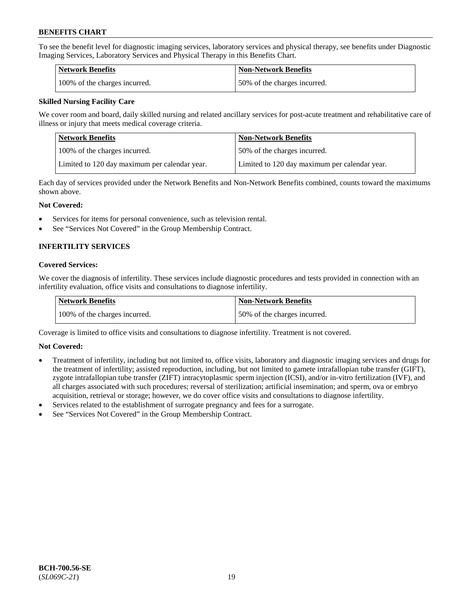To see the benefit level for diagnostic imaging services, laboratory services and physical therapy, see benefits under Diagnostic Imaging Services, Laboratory Services and Physical Therapy in this Benefits Chart.

| <b>Network Benefits</b>       | Non-Network Benefits         |
|-------------------------------|------------------------------|
| 100% of the charges incurred. | 50% of the charges incurred. |

## **Skilled Nursing Facility Care**

We cover room and board, daily skilled nursing and related ancillary services for post-acute treatment and rehabilitative care of illness or injury that meets medical coverage criteria.

| Network Benefits                              | <b>Non-Network Benefits</b>                   |
|-----------------------------------------------|-----------------------------------------------|
| 100\% of the charges incurred.                | 50% of the charges incurred.                  |
| Limited to 120 day maximum per calendar year. | Limited to 120 day maximum per calendar year. |

Each day of services provided under the Network Benefits and Non-Network Benefits combined, counts toward the maximums shown above.

#### **Not Covered:**

- Services for items for personal convenience, such as television rental.
- See "Services Not Covered" in the Group Membership Contract.

## **INFERTILITY SERVICES**

### **Covered Services:**

We cover the diagnosis of infertility. These services include diagnostic procedures and tests provided in connection with an infertility evaluation, office visits and consultations to diagnose infertility.

| Network Benefits              | <b>Non-Network Benefits</b>  |
|-------------------------------|------------------------------|
| 100% of the charges incurred. | 50% of the charges incurred. |

Coverage is limited to office visits and consultations to diagnose infertility. Treatment is not covered.

## **Not Covered:**

- Treatment of infertility, including but not limited to, office visits, laboratory and diagnostic imaging services and drugs for the treatment of infertility; assisted reproduction, including, but not limited to gamete intrafallopian tube transfer (GIFT), zygote intrafallopian tube transfer (ZIFT) intracytoplasmic sperm injection (ICSI), and/or in-vitro fertilization (IVF), and all charges associated with such procedures; reversal of sterilization; artificial insemination; and sperm, ova or embryo acquisition, retrieval or storage; however, we do cover office visits and consultations to diagnose infertility.
- Services related to the establishment of surrogate pregnancy and fees for a surrogate.
- See "Services Not Covered" in the Group Membership Contract.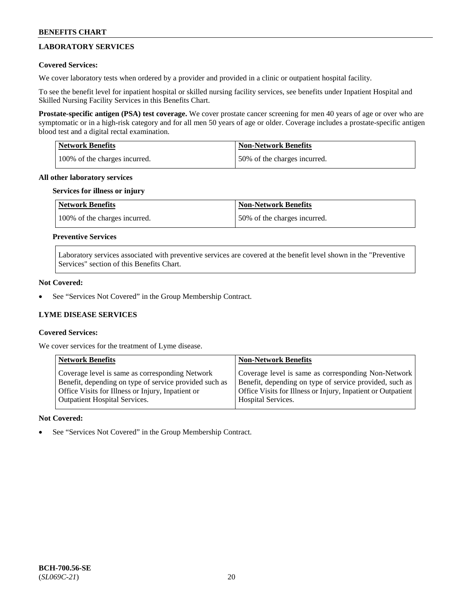## **LABORATORY SERVICES**

## **Covered Services:**

We cover laboratory tests when ordered by a provider and provided in a clinic or outpatient hospital facility.

To see the benefit level for inpatient hospital or skilled nursing facility services, see benefits under Inpatient Hospital and Skilled Nursing Facility Services in this Benefits Chart.

**Prostate-specific antigen (PSA) test coverage.** We cover prostate cancer screening for men 40 years of age or over who are symptomatic or in a high-risk category and for all men 50 years of age or older. Coverage includes a prostate-specific antigen blood test and a digital rectal examination.

| <b>Network Benefits</b>       | <b>Non-Network Benefits</b>  |
|-------------------------------|------------------------------|
| 100% of the charges incurred. | 50% of the charges incurred. |

#### **All other laboratory services**

#### **Services for illness or injury**

| <b>Network Benefits</b>       | <b>Non-Network Benefits</b>  |
|-------------------------------|------------------------------|
| 100% of the charges incurred. | 50% of the charges incurred. |

## **Preventive Services**

Laboratory services associated with preventive services are covered at the benefit level shown in the "Preventive Services" section of this Benefits Chart.

#### **Not Covered:**

See "Services Not Covered" in the Group Membership Contract.

## **LYME DISEASE SERVICES**

## **Covered Services:**

We cover services for the treatment of Lyme disease.

| <b>Network Benefits</b>                                | <b>Non-Network Benefits</b>                                  |
|--------------------------------------------------------|--------------------------------------------------------------|
| Coverage level is same as corresponding Network        | Coverage level is same as corresponding Non-Network          |
| Benefit, depending on type of service provided such as | Benefit, depending on type of service provided, such as      |
| Office Visits for Illness or Injury, Inpatient or      | Office Visits for Illness or Injury, Inpatient or Outpatient |
| <b>Outpatient Hospital Services.</b>                   | Hospital Services.                                           |

## **Not Covered:**

See "Services Not Covered" in the Group Membership Contract.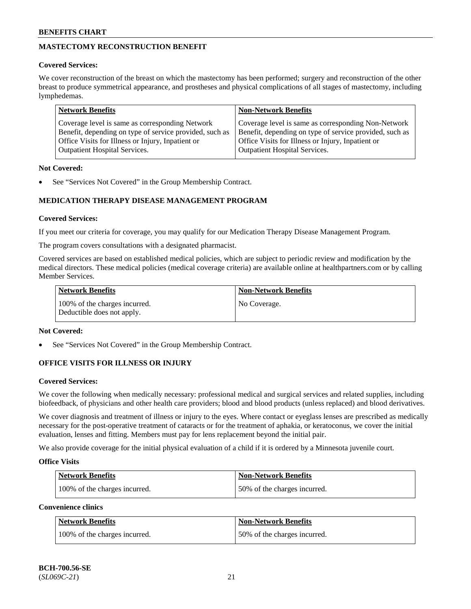## **MASTECTOMY RECONSTRUCTION BENEFIT**

## **Covered Services:**

We cover reconstruction of the breast on which the mastectomy has been performed; surgery and reconstruction of the other breast to produce symmetrical appearance, and prostheses and physical complications of all stages of mastectomy, including lymphedemas.

| <b>Network Benefits</b>                                 | <b>Non-Network Benefits</b>                             |
|---------------------------------------------------------|---------------------------------------------------------|
| Coverage level is same as corresponding Network         | Coverage level is same as corresponding Non-Network     |
| Benefit, depending on type of service provided, such as | Benefit, depending on type of service provided, such as |
| Office Visits for Illness or Injury, Inpatient or       | Office Visits for Illness or Injury, Inpatient or       |
| <b>Outpatient Hospital Services.</b>                    | <b>Outpatient Hospital Services.</b>                    |

## **Not Covered:**

See "Services Not Covered" in the Group Membership Contract.

## **MEDICATION THERAPY DISEASE MANAGEMENT PROGRAM**

## **Covered Services:**

If you meet our criteria for coverage, you may qualify for our Medication Therapy Disease Management Program.

The program covers consultations with a designated pharmacist.

Covered services are based on established medical policies, which are subject to periodic review and modification by the medical directors. These medical policies (medical coverage criteria) are available online at [healthpartners.com](https://www.healthpartners.com/hp/index.html) or by calling Member Services.

| Network Benefits                                            | <b>Non-Network Benefits</b> |
|-------------------------------------------------------------|-----------------------------|
| 100% of the charges incurred.<br>Deductible does not apply. | No Coverage.                |

## **Not Covered:**

See "Services Not Covered" in the Group Membership Contract.

## **OFFICE VISITS FOR ILLNESS OR INJURY**

## **Covered Services:**

We cover the following when medically necessary: professional medical and surgical services and related supplies, including biofeedback, of physicians and other health care providers; blood and blood products (unless replaced) and blood derivatives.

We cover diagnosis and treatment of illness or injury to the eyes. Where contact or eyeglass lenses are prescribed as medically necessary for the post-operative treatment of cataracts or for the treatment of aphakia, or keratoconus, we cover the initial evaluation, lenses and fitting. Members must pay for lens replacement beyond the initial pair.

We also provide coverage for the initial physical evaluation of a child if it is ordered by a Minnesota juvenile court.

## **Office Visits**

| <b>Network Benefits</b>       | <b>Non-Network Benefits</b>  |
|-------------------------------|------------------------------|
| 100% of the charges incurred. | 50% of the charges incurred. |

**Convenience clinics**

| Network Benefits              | <b>Non-Network Benefits</b>  |
|-------------------------------|------------------------------|
| 100% of the charges incurred. | 50% of the charges incurred. |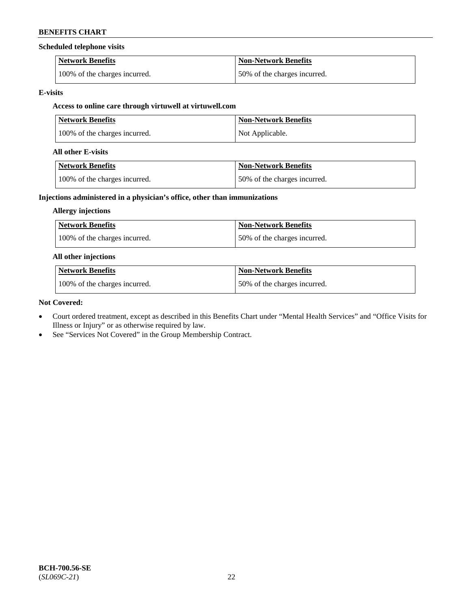## **Scheduled telephone visits**

| <b>Network Benefits</b>       | <b>Non-Network Benefits</b>  |
|-------------------------------|------------------------------|
| 100% of the charges incurred. | 50% of the charges incurred. |

## **E-visits**

## **Access to online care through virtuwell at [virtuwell.com](https://www.virtuwell.com/)**

| <b>Network Benefits</b>       | <b>Non-Network Benefits</b> |
|-------------------------------|-----------------------------|
| 100% of the charges incurred. | Not Applicable.             |

## **All other E-visits**

| Network Benefits              | <b>Non-Network Benefits</b>  |
|-------------------------------|------------------------------|
| 100% of the charges incurred. | 50% of the charges incurred. |

## **Injections administered in a physician's office, other than immunizations**

## **Allergy injections**

| Network Benefits              | Non-Network Benefits         |
|-------------------------------|------------------------------|
| 100% of the charges incurred. | 50% of the charges incurred. |

## **All other injections**

| <b>Network Benefits</b>       | <b>Non-Network Benefits</b>  |
|-------------------------------|------------------------------|
| 100% of the charges incurred. | 50% of the charges incurred. |

## **Not Covered:**

- Court ordered treatment, except as described in this Benefits Chart under "Mental Health Services" and "Office Visits for Illness or Injury" or as otherwise required by law.
- See "Services Not Covered" in the Group Membership Contract.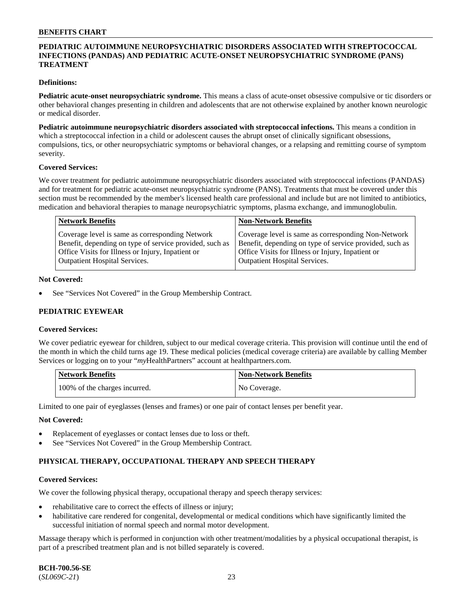## **PEDIATRIC AUTOIMMUNE NEUROPSYCHIATRIC DISORDERS ASSOCIATED WITH STREPTOCOCCAL INFECTIONS (PANDAS) AND PEDIATRIC ACUTE-ONSET NEUROPSYCHIATRIC SYNDROME (PANS) TREATMENT**

### **Definitions:**

**Pediatric acute-onset neuropsychiatric syndrome.** This means a class of acute-onset obsessive compulsive or tic disorders or other behavioral changes presenting in children and adolescents that are not otherwise explained by another known neurologic or medical disorder.

**Pediatric autoimmune neuropsychiatric disorders associated with streptococcal infections.** This means a condition in which a streptococcal infection in a child or adolescent causes the abrupt onset of clinically significant obsessions, compulsions, tics, or other neuropsychiatric symptoms or behavioral changes, or a relapsing and remitting course of symptom severity.

#### **Covered Services:**

We cover treatment for pediatric autoimmune neuropsychiatric disorders associated with streptococcal infections (PANDAS) and for treatment for pediatric acute-onset neuropsychiatric syndrome (PANS). Treatments that must be covered under this section must be recommended by the member's licensed health care professional and include but are not limited to antibiotics, medication and behavioral therapies to manage neuropsychiatric symptoms, plasma exchange, and immunoglobulin.

| <b>Network Benefits</b>                                                                                                                                         | <b>Non-Network Benefits</b>                                                                                                                                         |
|-----------------------------------------------------------------------------------------------------------------------------------------------------------------|---------------------------------------------------------------------------------------------------------------------------------------------------------------------|
| Coverage level is same as corresponding Network<br>Benefit, depending on type of service provided, such as<br>Office Visits for Illness or Injury, Inpatient or | Coverage level is same as corresponding Non-Network<br>Benefit, depending on type of service provided, such as<br>Office Visits for Illness or Injury, Inpatient or |
| <b>Outpatient Hospital Services.</b>                                                                                                                            | <b>Outpatient Hospital Services.</b>                                                                                                                                |

#### **Not Covered:**

See "Services Not Covered" in the Group Membership Contract.

## **PEDIATRIC EYEWEAR**

#### **Covered Services:**

We cover pediatric eyewear for children, subject to our medical coverage criteria. This provision will continue until the end of the month in which the child turns age 19. These medical policies (medical coverage criteria) are available by calling Member Services or logging on to your "*my*HealthPartners" account at [healthpartners.com.](https://www.healthpartners.com/hp/index.html)

| Network Benefits              | <b>Non-Network Benefits</b> |
|-------------------------------|-----------------------------|
| 100% of the charges incurred. | No Coverage.                |

Limited to one pair of eyeglasses (lenses and frames) or one pair of contact lenses per benefit year.

#### **Not Covered:**

- Replacement of eyeglasses or contact lenses due to loss or theft.
- See "Services Not Covered" in the Group Membership Contract.

## **PHYSICAL THERAPY, OCCUPATIONAL THERAPY AND SPEECH THERAPY**

#### **Covered Services:**

We cover the following physical therapy, occupational therapy and speech therapy services:

- rehabilitative care to correct the effects of illness or injury;
- habilitative care rendered for congenital, developmental or medical conditions which have significantly limited the successful initiation of normal speech and normal motor development.

Massage therapy which is performed in conjunction with other treatment/modalities by a physical occupational therapist, is part of a prescribed treatment plan and is not billed separately is covered.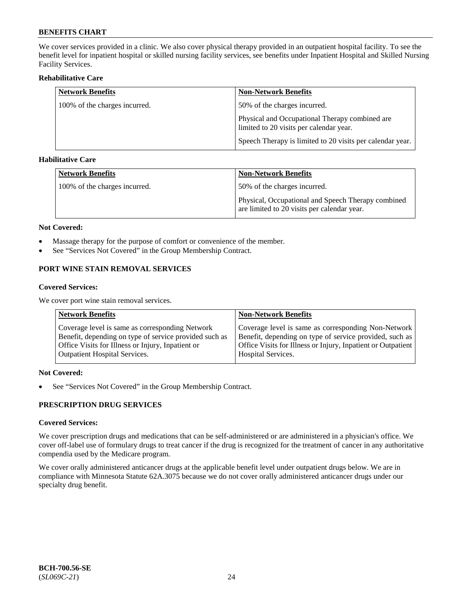We cover services provided in a clinic. We also cover physical therapy provided in an outpatient hospital facility. To see the benefit level for inpatient hospital or skilled nursing facility services, see benefits under Inpatient Hospital and Skilled Nursing Facility Services.

## **Rehabilitative Care**

| <b>Network Benefits</b>       | <b>Non-Network Benefits</b>                                                               |
|-------------------------------|-------------------------------------------------------------------------------------------|
| 100% of the charges incurred. | 50% of the charges incurred.                                                              |
|                               | Physical and Occupational Therapy combined are<br>limited to 20 visits per calendar year. |
|                               | Speech Therapy is limited to 20 visits per calendar year.                                 |

## **Habilitative Care**

| <b>Network Benefits</b>       | Non-Network Benefits                                                                              |
|-------------------------------|---------------------------------------------------------------------------------------------------|
| 100% of the charges incurred. | 50% of the charges incurred.                                                                      |
|                               | Physical, Occupational and Speech Therapy combined<br>are limited to 20 visits per calendar year. |

#### **Not Covered:**

- Massage therapy for the purpose of comfort or convenience of the member.
- See "Services Not Covered" in the Group Membership Contract.

## **PORT WINE STAIN REMOVAL SERVICES**

#### **Covered Services:**

We cover port wine stain removal services.

| <b>Network Benefits</b>                                | <b>Non-Network Benefits</b>                                  |
|--------------------------------------------------------|--------------------------------------------------------------|
| Coverage level is same as corresponding Network        | Coverage level is same as corresponding Non-Network          |
| Benefit, depending on type of service provided such as | Benefit, depending on type of service provided, such as      |
| Office Visits for Illness or Injury, Inpatient or      | Office Visits for Illness or Injury, Inpatient or Outpatient |
| <b>Outpatient Hospital Services.</b>                   | Hospital Services.                                           |

## **Not Covered:**

• See "Services Not Covered" in the Group Membership Contract.

## **PRESCRIPTION DRUG SERVICES**

## **Covered Services:**

We cover prescription drugs and medications that can be self-administered or are administered in a physician's office. We cover off-label use of formulary drugs to treat cancer if the drug is recognized for the treatment of cancer in any authoritative compendia used by the Medicare program.

We cover orally administered anticancer drugs at the applicable benefit level under outpatient drugs below. We are in compliance with Minnesota Statute 62A.3075 because we do not cover orally administered anticancer drugs under our specialty drug benefit.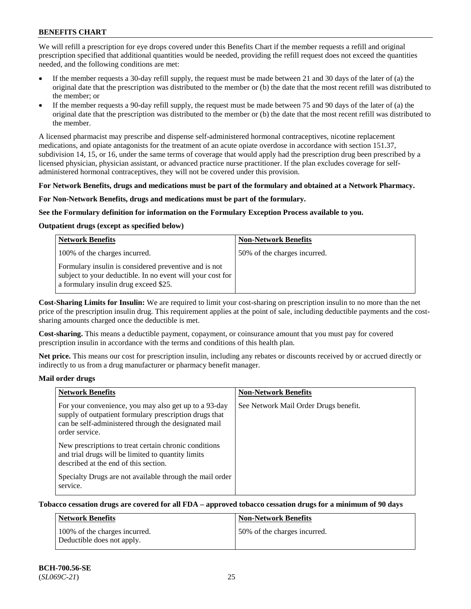We will refill a prescription for eye drops covered under this Benefits Chart if the member requests a refill and original prescription specified that additional quantities would be needed, providing the refill request does not exceed the quantities needed, and the following conditions are met:

- If the member requests a 30-day refill supply, the request must be made between 21 and 30 days of the later of (a) the original date that the prescription was distributed to the member or (b) the date that the most recent refill was distributed to the member; or
- If the member requests a 90-day refill supply, the request must be made between 75 and 90 days of the later of (a) the original date that the prescription was distributed to the member or (b) the date that the most recent refill was distributed to the member.

A licensed pharmacist may prescribe and dispense self-administered hormonal contraceptives, nicotine replacement medications, and opiate antagonists for the treatment of an acute opiate overdose in accordance with section 151.37, subdivision 14, 15, or 16, under the same terms of coverage that would apply had the prescription drug been prescribed by a licensed physician, physician assistant, or advanced practice nurse practitioner. If the plan excludes coverage for selfadministered hormonal contraceptives, they will not be covered under this provision.

#### **For Network Benefits, drugs and medications must be part of the formulary and obtained at a Network Pharmacy.**

#### **For Non-Network Benefits, drugs and medications must be part of the formulary.**

#### **See the Formulary definition for information on the Formulary Exception Process available to you.**

## **Outpatient drugs (except as specified below)**

| <b>Network Benefits</b>                                                                                                                                      | <b>Non-Network Benefits</b>  |
|--------------------------------------------------------------------------------------------------------------------------------------------------------------|------------------------------|
| 100% of the charges incurred.                                                                                                                                | 50% of the charges incurred. |
| Formulary insulin is considered preventive and is not<br>subject to your deductible. In no event will your cost for<br>a formulary insulin drug exceed \$25. |                              |

**Cost-Sharing Limits for Insulin:** We are required to limit your cost-sharing on prescription insulin to no more than the net price of the prescription insulin drug. This requirement applies at the point of sale, including deductible payments and the costsharing amounts charged once the deductible is met.

**Cost-sharing.** This means a deductible payment, copayment, or coinsurance amount that you must pay for covered prescription insulin in accordance with the terms and conditions of this health plan.

**Net price.** This means our cost for prescription insulin, including any rebates or discounts received by or accrued directly or indirectly to us from a drug manufacturer or pharmacy benefit manager.

#### **Mail order drugs**

| <b>Network Benefits</b>                                                                                                                                                                   | <b>Non-Network Benefits</b>           |
|-------------------------------------------------------------------------------------------------------------------------------------------------------------------------------------------|---------------------------------------|
| For your convenience, you may also get up to a 93-day<br>supply of outpatient formulary prescription drugs that<br>can be self-administered through the designated mail<br>order service. | See Network Mail Order Drugs benefit. |
| New prescriptions to treat certain chronic conditions<br>and trial drugs will be limited to quantity limits<br>described at the end of this section.                                      |                                       |
| Specialty Drugs are not available through the mail order<br>service.                                                                                                                      |                                       |

## **Tobacco cessation drugs are covered for all FDA – approved tobacco cessation drugs for a minimum of 90 days**

| Network Benefits                                            | <b>Non-Network Benefits</b>  |
|-------------------------------------------------------------|------------------------------|
| 100% of the charges incurred.<br>Deductible does not apply. | 50% of the charges incurred. |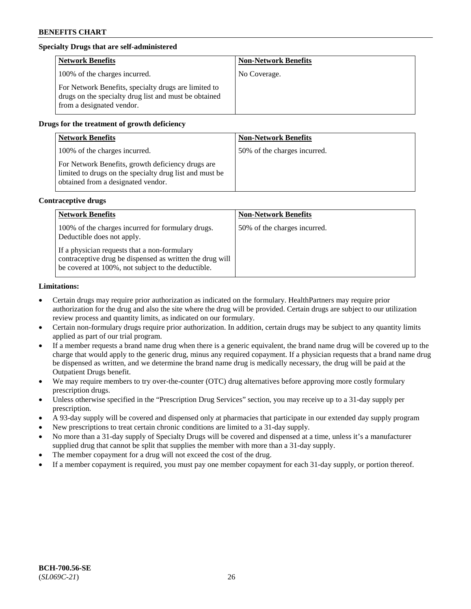## **Specialty Drugs that are self-administered**

| <b>Network Benefits</b>                                                                                                                    | <b>Non-Network Benefits</b> |
|--------------------------------------------------------------------------------------------------------------------------------------------|-----------------------------|
| 100% of the charges incurred.                                                                                                              | No Coverage.                |
| For Network Benefits, specialty drugs are limited to<br>drugs on the specialty drug list and must be obtained<br>from a designated vendor. |                             |

## **Drugs for the treatment of growth deficiency**

| <b>Network Benefits</b>                                                                                                                            | <b>Non-Network Benefits</b>  |
|----------------------------------------------------------------------------------------------------------------------------------------------------|------------------------------|
| 100% of the charges incurred.                                                                                                                      | 50% of the charges incurred. |
| For Network Benefits, growth deficiency drugs are<br>limited to drugs on the specialty drug list and must be<br>obtained from a designated vendor. |                              |

#### **Contraceptive drugs**

| <b>Network Benefits</b>                                                                                                                                        | <b>Non-Network Benefits</b>  |
|----------------------------------------------------------------------------------------------------------------------------------------------------------------|------------------------------|
| 100% of the charges incurred for formulary drugs.<br>Deductible does not apply.                                                                                | 50% of the charges incurred. |
| If a physician requests that a non-formulary<br>contraceptive drug be dispensed as written the drug will<br>be covered at 100%, not subject to the deductible. |                              |

#### **Limitations:**

- Certain drugs may require prior authorization as indicated on the formulary. HealthPartners may require prior authorization for the drug and also the site where the drug will be provided. Certain drugs are subject to our utilization review process and quantity limits, as indicated on our formulary.
- Certain non-formulary drugs require prior authorization. In addition, certain drugs may be subject to any quantity limits applied as part of our trial program.
- If a member requests a brand name drug when there is a generic equivalent, the brand name drug will be covered up to the charge that would apply to the generic drug, minus any required copayment. If a physician requests that a brand name drug be dispensed as written, and we determine the brand name drug is medically necessary, the drug will be paid at the Outpatient Drugs benefit.
- We may require members to try over-the-counter (OTC) drug alternatives before approving more costly formulary prescription drugs.
- Unless otherwise specified in the "Prescription Drug Services" section, you may receive up to a 31-day supply per prescription.
- A 93-day supply will be covered and dispensed only at pharmacies that participate in our extended day supply program
- New prescriptions to treat certain chronic conditions are limited to a 31-day supply.
- No more than a 31-day supply of Specialty Drugs will be covered and dispensed at a time, unless it's a manufacturer supplied drug that cannot be split that supplies the member with more than a 31-day supply.
- The member copayment for a drug will not exceed the cost of the drug.
- If a member copayment is required, you must pay one member copayment for each 31-day supply, or portion thereof.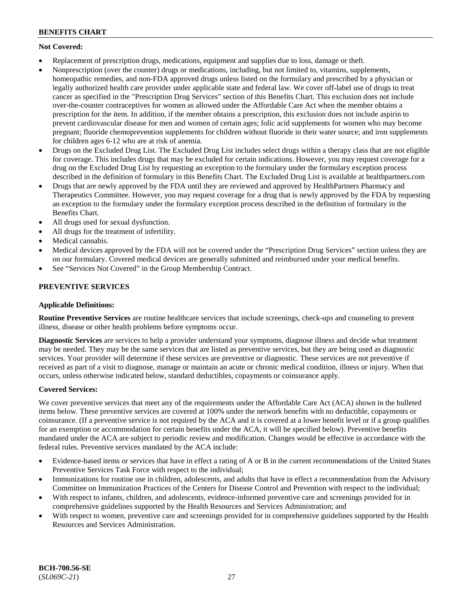## **Not Covered:**

- Replacement of prescription drugs, medications, equipment and supplies due to loss, damage or theft.
- Nonprescription (over the counter) drugs or medications, including, but not limited to, vitamins, supplements, homeopathic remedies, and non-FDA approved drugs unless listed on the formulary and prescribed by a physician or legally authorized health care provider under applicable state and federal law. We cover off-label use of drugs to treat cancer as specified in the "Prescription Drug Services" section of this Benefits Chart. This exclusion does not include over-the-counter contraceptives for women as allowed under the Affordable Care Act when the member obtains a prescription for the item. In addition, if the member obtains a prescription, this exclusion does not include aspirin to prevent cardiovascular disease for men and women of certain ages; folic acid supplements for women who may become pregnant; fluoride chemoprevention supplements for children without fluoride in their water source; and iron supplements for children ages 6-12 who are at risk of anemia.
- Drugs on the Excluded Drug List. The Excluded Drug List includes select drugs within a therapy class that are not eligible for coverage. This includes drugs that may be excluded for certain indications. However, you may request coverage for a drug on the Excluded Drug List by requesting an exception to the formulary under the formulary exception process described in the definition of formulary in this Benefits Chart. The Excluded Drug List is available at [healthpartners.com](http://www.healthpartners.com/)
- Drugs that are newly approved by the FDA until they are reviewed and approved by HealthPartners Pharmacy and Therapeutics Committee. However, you may request coverage for a drug that is newly approved by the FDA by requesting an exception to the formulary under the formulary exception process described in the definition of formulary in the Benefits Chart.
- All drugs used for sexual dysfunction.
- All drugs for the treatment of infertility.
- Medical cannabis.
- Medical devices approved by the FDA will not be covered under the "Prescription Drug Services" section unless they are on our formulary. Covered medical devices are generally submitted and reimbursed under your medical benefits.
- See "Services Not Covered" in the Group Membership Contract.

## **PREVENTIVE SERVICES**

## **Applicable Definitions:**

**Routine Preventive Services** are routine healthcare services that include screenings, check-ups and counseling to prevent illness, disease or other health problems before symptoms occur.

**Diagnostic Services** are services to help a provider understand your symptoms, diagnose illness and decide what treatment may be needed. They may be the same services that are listed as preventive services, but they are being used as diagnostic services. Your provider will determine if these services are preventive or diagnostic. These services are not preventive if received as part of a visit to diagnose, manage or maintain an acute or chronic medical condition, illness or injury. When that occurs, unless otherwise indicated below, standard deductibles, copayments or coinsurance apply.

## **Covered Services:**

We cover preventive services that meet any of the requirements under the Affordable Care Act (ACA) shown in the bulleted items below. These preventive services are covered at 100% under the network benefits with no deductible, copayments or coinsurance. (If a preventive service is not required by the ACA and it is covered at a lower benefit level or if a group qualifies for an exemption or accommodation for certain benefits under the ACA, it will be specified below). Preventive benefits mandated under the ACA are subject to periodic review and modification. Changes would be effective in accordance with the federal rules. Preventive services mandated by the ACA include:

- Evidence-based items or services that have in effect a rating of A or B in the current recommendations of the United States Preventive Services Task Force with respect to the individual;
- Immunizations for routine use in children, adolescents, and adults that have in effect a recommendation from the Advisory Committee on Immunization Practices of the Centers for Disease Control and Prevention with respect to the individual;
- With respect to infants, children, and adolescents, evidence-informed preventive care and screenings provided for in comprehensive guidelines supported by the Health Resources and Services Administration; and
- With respect to women, preventive care and screenings provided for in comprehensive guidelines supported by the Health Resources and Services Administration.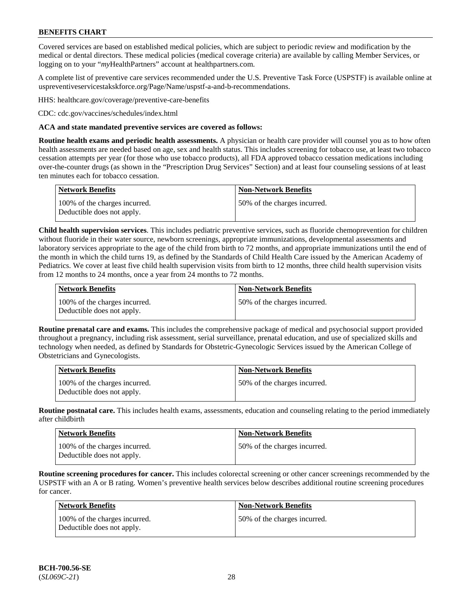Covered services are based on established medical policies, which are subject to periodic review and modification by the medical or dental directors. These medical policies (medical coverage criteria) are available by calling Member Services, or logging on to your "*my*HealthPartners" account at [healthpartners.com.](http://www.healthpartners.com/)

A complete list of preventive care services recommended under the U.S. Preventive Task Force (USPSTF) is available online at [uspreventiveservicestakskforce.org/Page/Name/uspstf-a-and-b-recommendations.](https://www.uspreventiveservicestaskforce.org/Page/Name/uspstf-a-and-b-recommendations-by-date/)

HHS: [healthcare.gov/coverage/preventive-care-benefits](https://www.healthcare.gov/coverage/preventive-care-benefits/)

CDC: [cdc.gov/vaccines/schedules/index.html](https://www.cdc.gov/vaccines/schedules/index.html)

### **ACA and state mandated preventive services are covered as follows:**

**Routine health exams and periodic health assessments.** A physician or health care provider will counsel you as to how often health assessments are needed based on age, sex and health status. This includes screening for tobacco use, at least two tobacco cessation attempts per year (for those who use tobacco products), all FDA approved tobacco cessation medications including over-the-counter drugs (as shown in the "Prescription Drug Services" Section) and at least four counseling sessions of at least ten minutes each for tobacco cessation.

| Network Benefits                                            | <b>Non-Network Benefits</b>  |
|-------------------------------------------------------------|------------------------------|
| 100% of the charges incurred.<br>Deductible does not apply. | 50% of the charges incurred. |

**Child health supervision services**. This includes pediatric preventive services, such as fluoride chemoprevention for children without fluoride in their water source, newborn screenings, appropriate immunizations, developmental assessments and laboratory services appropriate to the age of the child from birth to 72 months, and appropriate immunizations until the end of the month in which the child turns 19, as defined by the Standards of Child Health Care issued by the American Academy of Pediatrics. We cover at least five child health supervision visits from birth to 12 months, three child health supervision visits from 12 months to 24 months, once a year from 24 months to 72 months.

| Network Benefits                                            | <b>Non-Network Benefits</b>  |
|-------------------------------------------------------------|------------------------------|
| 100% of the charges incurred.<br>Deductible does not apply. | 50% of the charges incurred. |

**Routine prenatal care and exams.** This includes the comprehensive package of medical and psychosocial support provided throughout a pregnancy, including risk assessment, serial surveillance, prenatal education, and use of specialized skills and technology when needed, as defined by Standards for Obstetric-Gynecologic Services issued by the American College of Obstetricians and Gynecologists.

| <b>Network Benefits</b>                                     | <b>Non-Network Benefits</b>   |
|-------------------------------------------------------------|-------------------------------|
| 100% of the charges incurred.<br>Deductible does not apply. | 150% of the charges incurred. |

**Routine postnatal care.** This includes health exams, assessments, education and counseling relating to the period immediately after childbirth

| <b>Network Benefits</b>                                     | <b>Non-Network Benefits</b>  |
|-------------------------------------------------------------|------------------------------|
| 100% of the charges incurred.<br>Deductible does not apply. | 50% of the charges incurred. |

**Routine screening procedures for cancer.** This includes colorectal screening or other cancer screenings recommended by the USPSTF with an A or B rating. Women's preventive health services below describes additional routine screening procedures for cancer.

| Network Benefits                                            | <b>Non-Network Benefits</b>  |
|-------------------------------------------------------------|------------------------------|
| 100% of the charges incurred.<br>Deductible does not apply. | 50% of the charges incurred. |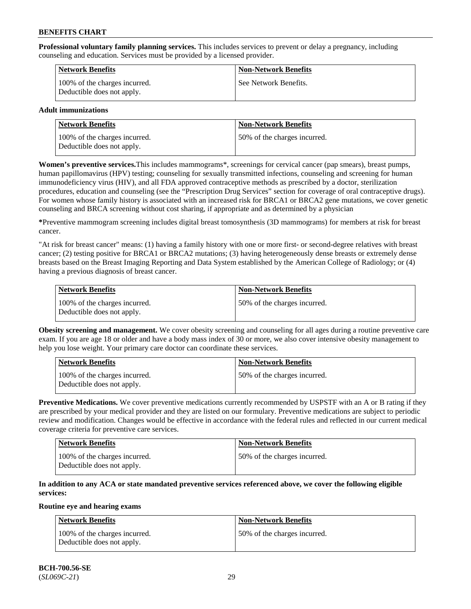**Professional voluntary family planning services.** This includes services to prevent or delay a pregnancy, including counseling and education. Services must be provided by a licensed provider.

| <b>Network Benefits</b>                                     | <b>Non-Network Benefits</b> |
|-------------------------------------------------------------|-----------------------------|
| 100% of the charges incurred.<br>Deductible does not apply. | See Network Benefits.       |

## **Adult immunizations**

| Network Benefits                                            | <b>Non-Network Benefits</b>  |
|-------------------------------------------------------------|------------------------------|
| 100% of the charges incurred.<br>Deductible does not apply. | 50% of the charges incurred. |

**Women's preventive services.**This includes mammograms\*, screenings for cervical cancer (pap smears), breast pumps, human papillomavirus (HPV) testing; counseling for sexually transmitted infections, counseling and screening for human immunodeficiency virus (HIV), and all FDA approved contraceptive methods as prescribed by a doctor, sterilization procedures, education and counseling (see the "Prescription Drug Services" section for coverage of oral contraceptive drugs). For women whose family history is associated with an increased risk for BRCA1 or BRCA2 gene mutations, we cover genetic counseling and BRCA screening without cost sharing, if appropriate and as determined by a physician

**\***Preventive mammogram screening includes digital breast tomosynthesis (3D mammograms) for members at risk for breast cancer.

"At risk for breast cancer" means: (1) having a family history with one or more first- or second-degree relatives with breast cancer; (2) testing positive for BRCA1 or BRCA2 mutations; (3) having heterogeneously dense breasts or extremely dense breasts based on the Breast Imaging Reporting and Data System established by the American College of Radiology; or (4) having a previous diagnosis of breast cancer.

| Network Benefits                                            | <b>Non-Network Benefits</b>  |
|-------------------------------------------------------------|------------------------------|
| 100% of the charges incurred.<br>Deductible does not apply. | 50% of the charges incurred. |

**Obesity screening and management.** We cover obesity screening and counseling for all ages during a routine preventive care exam. If you are age 18 or older and have a body mass index of 30 or more, we also cover intensive obesity management to help you lose weight. Your primary care doctor can coordinate these services.

| Network Benefits                                            | <b>Non-Network Benefits</b>  |
|-------------------------------------------------------------|------------------------------|
| 100% of the charges incurred.<br>Deductible does not apply. | 50% of the charges incurred. |

**Preventive Medications.** We cover preventive medications currently recommended by USPSTF with an A or B rating if they are prescribed by your medical provider and they are listed on our formulary. Preventive medications are subject to periodic review and modification. Changes would be effective in accordance with the federal rules and reflected in our current medical coverage criteria for preventive care services.

| <b>Network Benefits</b>                                     | <b>Non-Network Benefits</b>   |
|-------------------------------------------------------------|-------------------------------|
| 100% of the charges incurred.<br>Deductible does not apply. | 150% of the charges incurred. |

## **In addition to any ACA or state mandated preventive services referenced above, we cover the following eligible services:**

#### **Routine eye and hearing exams**

| <b>Network Benefits</b>                                     | <b>Non-Network Benefits</b>  |
|-------------------------------------------------------------|------------------------------|
| 100% of the charges incurred.<br>Deductible does not apply. | 50% of the charges incurred. |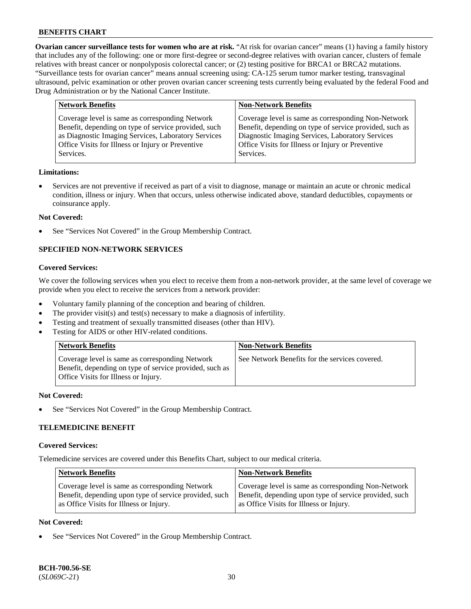**Ovarian cancer surveillance tests for women who are at risk.** "At risk for ovarian cancer" means (1) having a family history that includes any of the following: one or more first-degree or second-degree relatives with ovarian cancer, clusters of female relatives with breast cancer or nonpolyposis colorectal cancer; or (2) testing positive for BRCA1 or BRCA2 mutations. "Surveillance tests for ovarian cancer" means annual screening using: CA-125 serum tumor marker testing, transvaginal ultrasound, pelvic examination or other proven ovarian cancer screening tests currently being evaluated by the federal Food and Drug Administration or by the National Cancer Institute.

| <b>Network Benefits</b>                              | <b>Non-Network Benefits</b>                             |
|------------------------------------------------------|---------------------------------------------------------|
| Coverage level is same as corresponding Network      | Coverage level is same as corresponding Non-Network     |
| Benefit, depending on type of service provided, such | Benefit, depending on type of service provided, such as |
| as Diagnostic Imaging Services, Laboratory Services  | Diagnostic Imaging Services, Laboratory Services        |
| Office Visits for Illness or Injury or Preventive    | Office Visits for Illness or Injury or Preventive       |
| Services.                                            | Services.                                               |

#### **Limitations:**

• Services are not preventive if received as part of a visit to diagnose, manage or maintain an acute or chronic medical condition, illness or injury. When that occurs, unless otherwise indicated above, standard deductibles, copayments or coinsurance apply.

#### **Not Covered:**

See "Services Not Covered" in the Group Membership Contract.

## **SPECIFIED NON-NETWORK SERVICES**

## **Covered Services:**

We cover the following services when you elect to receive them from a non-network provider, at the same level of coverage we provide when you elect to receive the services from a network provider:

- Voluntary family planning of the conception and bearing of children.
- The provider visit(s) and test(s) necessary to make a diagnosis of infertility.
- Testing and treatment of sexually transmitted diseases (other than HIV).
- Testing for AIDS or other HIV-related conditions.

| <b>Network Benefits</b>                                                                                                                            | <b>Non-Network Benefits</b>                    |
|----------------------------------------------------------------------------------------------------------------------------------------------------|------------------------------------------------|
| Coverage level is same as corresponding Network<br>Benefit, depending on type of service provided, such as<br>Office Visits for Illness or Injury. | See Network Benefits for the services covered. |

#### **Not Covered:**

See "Services Not Covered" in the Group Membership Contract.

## **TELEMEDICINE BENEFIT**

#### **Covered Services:**

Telemedicine services are covered under this Benefits Chart, subject to our medical criteria.

| <b>Network Benefits</b>                                | <b>Non-Network Benefits</b>                            |
|--------------------------------------------------------|--------------------------------------------------------|
| Coverage level is same as corresponding Network        | Coverage level is same as corresponding Non-Network    |
| Benefit, depending upon type of service provided, such | Benefit, depending upon type of service provided, such |
| as Office Visits for Illness or Injury.                | as Office Visits for Illness or Injury.                |

### **Not Covered:**

See "Services Not Covered" in the Group Membership Contract.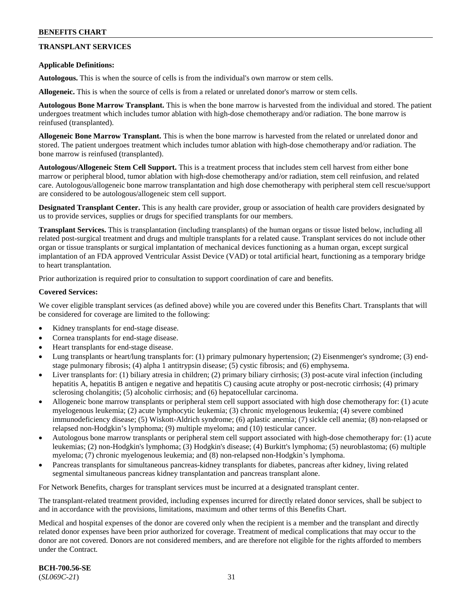## **TRANSPLANT SERVICES**

### **Applicable Definitions:**

**Autologous.** This is when the source of cells is from the individual's own marrow or stem cells.

**Allogeneic.** This is when the source of cells is from a related or unrelated donor's marrow or stem cells.

**Autologous Bone Marrow Transplant.** This is when the bone marrow is harvested from the individual and stored. The patient undergoes treatment which includes tumor ablation with high-dose chemotherapy and/or radiation. The bone marrow is reinfused (transplanted).

**Allogeneic Bone Marrow Transplant.** This is when the bone marrow is harvested from the related or unrelated donor and stored. The patient undergoes treatment which includes tumor ablation with high-dose chemotherapy and/or radiation. The bone marrow is reinfused (transplanted).

**Autologous/Allogeneic Stem Cell Support.** This is a treatment process that includes stem cell harvest from either bone marrow or peripheral blood, tumor ablation with high-dose chemotherapy and/or radiation, stem cell reinfusion, and related care. Autologous/allogeneic bone marrow transplantation and high dose chemotherapy with peripheral stem cell rescue/support are considered to be autologous/allogeneic stem cell support.

**Designated Transplant Center.** This is any health care provider, group or association of health care providers designated by us to provide services, supplies or drugs for specified transplants for our members.

**Transplant Services.** This is transplantation (including transplants) of the human organs or tissue listed below, including all related post-surgical treatment and drugs and multiple transplants for a related cause. Transplant services do not include other organ or tissue transplants or surgical implantation of mechanical devices functioning as a human organ, except surgical implantation of an FDA approved Ventricular Assist Device (VAD) or total artificial heart, functioning as a temporary bridge to heart transplantation.

Prior authorization is required prior to consultation to support coordination of care and benefits.

#### **Covered Services:**

We cover eligible transplant services (as defined above) while you are covered under this Benefits Chart. Transplants that will be considered for coverage are limited to the following:

- Kidney transplants for end-stage disease.
- Cornea transplants for end-stage disease.
- Heart transplants for end-stage disease.
- Lung transplants or heart/lung transplants for: (1) primary pulmonary hypertension; (2) Eisenmenger's syndrome; (3) endstage pulmonary fibrosis; (4) alpha 1 antitrypsin disease; (5) cystic fibrosis; and (6) emphysema.
- Liver transplants for: (1) biliary atresia in children; (2) primary biliary cirrhosis; (3) post-acute viral infection (including hepatitis A, hepatitis B antigen e negative and hepatitis C) causing acute atrophy or post-necrotic cirrhosis; (4) primary sclerosing cholangitis; (5) alcoholic cirrhosis; and (6) hepatocellular carcinoma.
- Allogeneic bone marrow transplants or peripheral stem cell support associated with high dose chemotherapy for: (1) acute myelogenous leukemia; (2) acute lymphocytic leukemia; (3) chronic myelogenous leukemia; (4) severe combined immunodeficiency disease; (5) Wiskott-Aldrich syndrome; (6) aplastic anemia; (7) sickle cell anemia; (8) non-relapsed or relapsed non-Hodgkin's lymphoma; (9) multiple myeloma; and (10) testicular cancer.
- Autologous bone marrow transplants or peripheral stem cell support associated with high-dose chemotherapy for: (1) acute leukemias; (2) non-Hodgkin's lymphoma; (3) Hodgkin's disease; (4) Burkitt's lymphoma; (5) neuroblastoma; (6) multiple myeloma; (7) chronic myelogenous leukemia; and (8) non-relapsed non-Hodgkin's lymphoma.
- Pancreas transplants for simultaneous pancreas-kidney transplants for diabetes, pancreas after kidney, living related segmental simultaneous pancreas kidney transplantation and pancreas transplant alone.

For Network Benefits, charges for transplant services must be incurred at a designated transplant center.

The transplant-related treatment provided, including expenses incurred for directly related donor services, shall be subject to and in accordance with the provisions, limitations, maximum and other terms of this Benefits Chart.

Medical and hospital expenses of the donor are covered only when the recipient is a member and the transplant and directly related donor expenses have been prior authorized for coverage. Treatment of medical complications that may occur to the donor are not covered. Donors are not considered members, and are therefore not eligible for the rights afforded to members under the Contract.